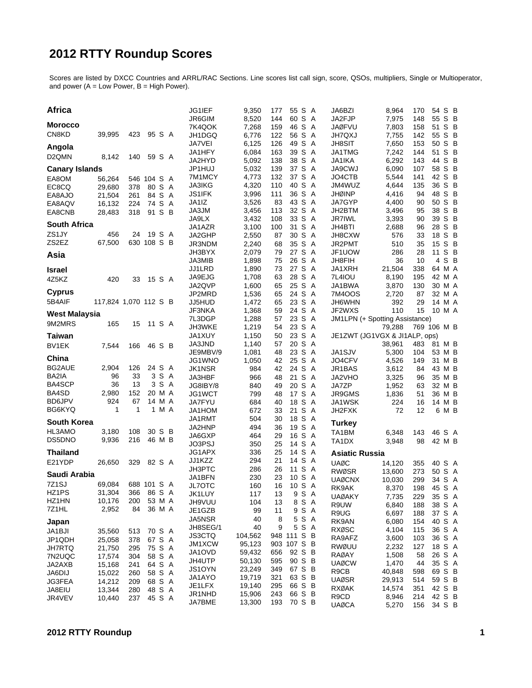# **2012 RTTY Roundup Scores**

Scores are listed by DXCC Countries and ARRL/RAC Sections. Line scores list call sign, score, QSOs, multipliers, Single or Multioperator, and power (A = Low Power, B = High Power).

| <b>Africa</b>         |                       |          |             |       | JG1IEF             | 9,350            | 177        | 55 S A              | JA6BZI                         | 8,964            | 170        | 54 S B           |       |
|-----------------------|-----------------------|----------|-------------|-------|--------------------|------------------|------------|---------------------|--------------------------------|------------------|------------|------------------|-------|
| <b>Morocco</b>        |                       |          |             |       | JR6GIM             | 8,520            | 144        | 60 S A<br>46 S A    | JA2FJP<br><b>JAØFVU</b>        | 7,975            | 148        | 55<br>51 S B     | S B   |
| CN8KD                 | 39,995                | 423      | 95 S A      |       | 7K4QOK<br>JH1DGQ   | 7,268<br>6,776   | 159<br>122 | 56 S A              | <b>JH7QXJ</b>                  | 7,803<br>7,755   | 158<br>142 | 55 S B           |       |
|                       |                       |          |             |       | JA7VEI             | 6,125            | 126        | 49 S A              | <b>JH8SIT</b>                  | 7,650            | 153        | 50 S B           |       |
| Angola                |                       |          |             |       | JA1HFY             | 6,084            | 163        | 39 S A              | JA1TMG                         | 7,242            | 144        | 51 S B           |       |
| D <sub>2</sub> QMN    | 8,142                 | 140      | 59 S A      |       | JA2HYD             | 5,092            | 138        | 38 S A              | JA1IKA                         | 6,292            | 143        | 44 S B           |       |
| <b>Canary Islands</b> |                       |          |             |       | JP1HUJ             | 5,032            | 139        | 37 S A              | JA9CWJ                         | 6,090            | 107        | 58 S B           |       |
| EA8OM                 | 56,264                |          | 546 104 S A |       | 7M1MCY             | 4,773            | 132        | 37 S A              | JO4CTB                         | 5,544            | 141        | 42 S B           |       |
| EC8CQ                 | 29,680                | 378      | 80 S A      |       | <b>JA3IKG</b>      | 4,320            | 110        | 40 S A              | JM4WUZ                         | 4,644            | 135        | 36 S B           |       |
| EA8AJO                | 21,504                | 261      | 84 S A      |       | JS1IFK<br>JA1IZ    | 3,996            | 111<br>83  | 36 S A<br>43 S A    | <b>JHØINP</b><br>JA7GYP        | 4,416            | 94<br>90   | 48 S B<br>50 S B |       |
| EA8AQV                | 16,132                | 224      | 74 S A      |       | JA3JM              | 3,526<br>3,456   | 113        | 32 S A              | JH2BTM                         | 4,400<br>3,496   | 95         | 38 S B           |       |
| EA8CNB                | 28,483                | 318      | 91 S B      |       | JA9LX              | 3,432            | 108        | 33 S A              | <b>JR7IWL</b>                  | 3,393            | 90         | 39 S B           |       |
| <b>South Africa</b>   |                       |          |             |       | JA1AZR             | 3,100            | 100        | 31 S A              | JH4BTI                         | 2,688            | 96         | 28 S B           |       |
| ZS1JY                 | 456                   | 24       | 19 S A      |       | JA2GHP             | 2,550            | 87         | 30 S A              | JH8CXW                         | 576              | 33         | 18 S B           |       |
| ZS2EZ                 | 67,500                |          | 630 108 S B |       | JR3NDM             | 2,240            | 68         | 35 S A              | JR2PMT                         | 510              | 35         | 15 S B           |       |
| Asia                  |                       |          |             |       | JH3BYX             | 2,079            | 79         | 27 S A              | JF1UOW                         | 286              | 28         | 11 S B           |       |
|                       |                       |          |             |       | JA3MIB             | 1,898            | 75         | 26 S A              | JH8FIH                         | 36               | 10         |                  | 4 S B |
| <b>Israel</b>         |                       |          |             |       | JJ1LRD             | 1,890            | 73         | 27 S A              | JA1XRH                         | 21,504           | 338        | 64 M A           |       |
| 4Z5KZ                 | 420                   | 33       | 15 S A      |       | JA9EJG             | 1,708            | 63         | 28 S A              | 7L4IOU                         | 8,190            | 195        | 42 M A           |       |
| <b>Cyprus</b>         |                       |          |             |       | JA2QVP<br>JP2MRD   | 1,600<br>1,536   | 65<br>65   | 25 S A<br>24 S A    | JA1BWA<br>7M400S               | 3,870<br>2,720   | 130<br>87  | 30 M A<br>32 M A |       |
| 5B4AIF                | 117,824 1,070 112 S B |          |             |       | JJ5HUD             | 1,472            | 65         | 23 S A              | JH6WHN                         | 392              | 29         | 14 M A           |       |
|                       |                       |          |             |       | JF3NKA             | 1,368            | 59         | 24 S A              | JF2WXS                         | 110              | 15         | 10 M A           |       |
| <b>West Malaysia</b>  |                       |          |             |       | 7L3DGP             | 1,288            | 57         | 23 S A              | JM1LPN (+ Spotting Assistance) |                  |            |                  |       |
| 9M2MRS                | 165                   | 15       | 11 S A      |       | JH3WKE             | 1,219            | 54         | 23 S A              |                                | 79,288           |            | 769 106 M B      |       |
| <b>Taiwan</b>         |                       |          |             |       | JA1XUY             | 1,150            | 50         | 23 S A              | JE1ZWT (JG1VGX & JI1ALP, ops)  |                  |            |                  |       |
| BV1EK                 | 7,544                 | 166      | 46 S B      |       | <b>JA3JND</b>      | 1,140            | 57         | 20 S A              |                                | 38,961           | 483        | 81 M B           |       |
| China                 |                       |          |             |       | JE9MBV/9           | 1,081            | 48         | 23 S A              | JA1SJV                         | 5,300            | 104        | 53 M B           |       |
|                       |                       |          |             |       | JG1WNO             | 1,050            | 42         | 25 S A              | JO4CFV                         | 4,526            | 149        | 31 M B           |       |
| BG2AUE                | 2,904                 | 126      | 24 S A      | 3 S A | JK1NSR             | 984              | 42         | 24 S A              | JR1BAS                         | 3,612            | 84         | 43 M B           |       |
| BA2IA<br>BA4SCP       | 96<br>36              | 33<br>13 |             | 3 S A | JA3HBF             | 966              | 48<br>49   | 21 S A<br>20 S A    | JA2VHO                         | 3,325            | 96         | 35 M B<br>32 M B |       |
| BA4SD                 | 2,980                 | 152      | 20 M A      |       | JG8IBY/8<br>JG1WCT | 840<br>799       | 48         | 17 S A              | JA7ZP<br>JR9GMS                | 1,952<br>1,836   | 63<br>51   | 36 M B           |       |
| <b>BD6JPV</b>         | 924                   | 67       | 14 M A      |       | JA7FYU             | 684              | 40         | 18 S A              | JA1WSK                         | 224              | 16         | 14 M B           |       |
| BG6KYQ                | 1                     | 1        |             | 1 M A | JA1HOM             | 672              | 33         | 21 S A              | JH2FXK                         | 72               | 12         |                  | 6 M B |
| <b>South Korea</b>    |                       |          |             |       | JA1RMT             | 504              | 30         | 18 S A              |                                |                  |            |                  |       |
| HL3AMO                | 3,180                 | 108      | 30 S B      |       | JA2HNP             | 494              | 36         | 19 S A              | <b>Turkey</b>                  |                  |            |                  |       |
| DS5DNO                | 9.936                 | 216      | 46 M B      |       | JA6GXP             | 464              | 29         | 16 S A              | TA1BM<br>TA1DX                 | 6,348            | 143        | 46 S A<br>42 M B |       |
|                       |                       |          |             |       | JO3PSJ             | 350              | 25         | 14 S A              |                                | 3,948            | 98         |                  |       |
| <b>Thailand</b>       |                       |          |             |       | JG1APX             | 336              | 25         | 14 S A              | <b>Asiatic Russia</b>          |                  |            |                  |       |
| E21YDP                | 26,650                | 329      | 82 S A      |       | JJ1KZZ<br>JH3PTC   | 294<br>286       | 21<br>26   | 14 S A<br>S A<br>11 | <b>UAØC</b>                    | 14,120           | 355        | 40 S A           |       |
| Saudi Arabia          |                       |          |             |       | JA1BFN             | 230              | 23         | 10 S A              | <b>RWØSR</b>                   | 13,600           | 273        | 50 S A           |       |
| 7Z1SJ                 | 69,084                |          | 688 101 S A |       | JL7OTC             | 160              | 16         | 10 S A              | <b>UAØCNX</b>                  | 10,030           | 299        | 34 S A           |       |
| HZ1PS                 | 31,304                |          | 366 86 S A  |       | JK1LUY             | 117              | 13         | 9 S A               | RK9AK<br><b>UAØAKY</b>         | 8,370<br>7,735   | 198<br>229 | 45 S A<br>35 S A |       |
| HZ1HN                 | 10,176                | 200      | 53 M A      |       | JH9VUU             | 104              | 13         | 8 S A               | R9UW                           | 6,840            | 188        | 38 S A           |       |
| 7Z1HL                 | 2,952                 | 84       | 36 M A      |       | JE1GZB             | 99               | 11         | 9 S A               | R9UG                           | 6,697            | 188        | 37 S A           |       |
| Japan                 |                       |          |             |       | JA5NSR             | 40               | 8          | 5 S A               | RK9AN                          | 6,080            | 154        | 40 S A           |       |
| JA1BJI                | 35,560                | 513      | 70 S A      |       | JH8SEG/1           | 40               | 9          | 5 S A               | <b>RXØSC</b>                   | 4,104            | 115        | 36 S A           |       |
| JP1QDH                | 25,058                | 378      | 67 S A      |       | <b>JS3CTQ</b>      | 104,562          |            | 948 111 S B         | RA9AFZ                         | 3,600            | 103        | 36 S A           |       |
| <b>JH7RTQ</b>         | 21,750                | 295      | 75 S A      |       | JM1XCW<br>JA1OVD   | 95,123           |            | 903 107 S B         | RWØUU                          | 2,232            | 127        | 18 S A           |       |
| 7N2UQC                | 17,574                | 304      | 58 S A      |       | JH4UTP             | 59,432<br>50,130 | 656<br>595 | 92 S B<br>90 S B    | RAØAY                          | 1,508            | 58         | 26 S A           |       |
| JA2AXB                | 15,168                | 241      | 64 S A      |       | JS1OYN             | 23,249           | 349        | 67 S B              | <b>UAØCW</b>                   | 1,470            | 44         | 35 S A           |       |
| <b>JA6DIJ</b>         | 15,022                | 260      | 58 S A      |       | JA1AYO             | 19,719           | 321        | 63 S B              | R9CB<br><b>UAØSR</b>           | 40,848           | 598        | 69 S B           |       |
| JG3FEA                | 14,212                | 209      | 68 S A      |       | JE1LFX             | 19,140           | 295        | 66 S B              | <b>RXØAK</b>                   | 29,913<br>14,574 | 514<br>351 | 59 S B<br>42 S B |       |
| JA8EIU                | 13,344                | 280      | 48 S A      |       | JR1NHD             | 15,906           | 243        | 66 S B              | R9CD                           | 8,946            | 214        | 42 S B           |       |
| JR4VEV                | 10,440                | 237      | 45 S A      |       | JA7BME             | 13,300           | 193        | 70 S B              | <b>UAØCA</b>                   | 5,270            | 156        | 34 S B           |       |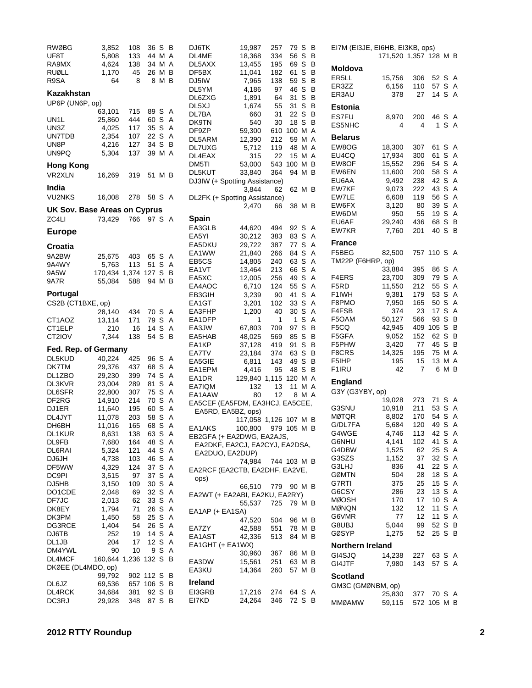| <b>RWØBG</b>                 | 3,852                 | 108        | 36 S             |       | - B    | DJ6TK                           | 19,987                | 257         | 79 S        |       | B                   |
|------------------------------|-----------------------|------------|------------------|-------|--------|---------------------------------|-----------------------|-------------|-------------|-------|---------------------|
| UF8T                         | 5,808                 | 133        | 44 M A           |       |        | DL4ME                           | 18,368                | 334         | 56          | S     | B                   |
| RA9MX                        | 4,624                 | 138        | 34 M A           |       |        | DL5AXX                          | 13,455                | 195         | 69 S        |       | B                   |
| <b>RUØLL</b>                 | 1,170                 | 45         | 26 M B           |       |        | DF5BX                           | 11,041                | 182         | 61 S B      |       |                     |
| R9SA                         | 64                    | 8          |                  | 8 M B |        | DJ5IW                           | 7,965                 | 138         | 59 S        | S B   | В                   |
| Kazakhstan                   |                       |            |                  |       |        | DL5YM<br>DL6ZXG                 | 4,186<br>1,891        | 97<br>64    | 46<br>31    | S     | B                   |
| UP6P (UN6P, op)              |                       |            |                  |       |        | DL5XJ                           | 1,674                 | 55          | 31          | S     | B                   |
|                              | 63,101                | 715        | 89 S             |       | A      | DL7BA                           | 660                   | 31          | 22 S B      |       |                     |
| UN1L                         | 25,860                | 444        | 60 S             |       | A      | DK9TN                           | 540                   | 30          | 18 S B      |       |                     |
| UN3Z                         | 4,025                 | 117        | 35 S             |       | Α      | DF9ZP                           | 59,300                |             | 610 100 M A |       |                     |
| UN7TDB                       | 2,354                 | 107        | 22 S             |       | A      | DL5ARM                          | 12,390                | 212         | 59 M A      |       |                     |
| UN8P                         | 4,216                 | 127        | 34 S B           |       |        | DL7UXG                          | 5,712                 | 119         | 48 M A      |       |                     |
| UN9PQ                        | 5,304                 | 137        | 39 M A           |       |        | DL4EAX                          | 315                   | 22          | 15 M A      |       |                     |
| <b>Hong Kong</b>             |                       |            |                  |       |        | DM5TI                           | 53,000                |             | 543 100 M B |       |                     |
| VR2XLN                       | 16,269                | 319        | 51 M B           |       |        | DL5KUT                          | 33,840                | 364         | 94 M B      |       |                     |
| India                        |                       |            |                  |       |        | DJ3IW (+ Spotting Assistance)   |                       |             |             |       |                     |
|                              |                       |            |                  |       |        |                                 | 3,844                 | 62          | 62 M B      |       |                     |
| <b>VU2NKS</b>                | 16,008                | 278        | 58 S A           |       |        | DL2FK (+ Spotting Assistance)   |                       |             |             |       |                     |
| UK Sov. Base Areas on Cyprus |                       |            |                  |       |        |                                 | 2,470                 | 66          | 38 M B      |       |                     |
| ZC4LI                        | 73,429                | 766        | 97 S A           |       |        | Spain                           |                       |             |             |       |                     |
| <b>Europe</b>                |                       |            |                  |       |        | EA3GLB                          | 44,620                | 494         | 92 S        |       | A                   |
|                              |                       |            |                  |       |        | EA5YI                           | 30,212                | 383         | 83 S        |       | A                   |
| Croatia                      |                       |            |                  |       |        | EA5DKU                          | 29,722                | 387         | 77 S        |       | A                   |
| 9A2BW                        | 25,675                | 403        | 65 S             |       | A      | EA1WW                           | 21,840                | 266         | 84 S        |       | $\overline{A}$      |
| 9A4WY                        | 5,763                 | 113        | 51 S             |       | A      | EB <sub>5</sub> C <sub>S</sub>  | 14,805                | 240         | 63 S        |       | A                   |
| 9A5W                         | 170,434 1,374 127 S   |            |                  |       | - B    | EA1VT                           | 13,464                | 213         | 66 S        |       | A                   |
| <b>9A7R</b>                  | 55,084                | 588        | 94 M B           |       |        | EA5XC                           | 12,005                | 256         | 49 S        |       | $\overline{A}$      |
|                              |                       |            |                  |       |        | EA4AOC                          | 6,710                 | 124         | 55 S        |       | A                   |
| Portugal                     |                       |            |                  |       |        | EB3GIH                          | 3,239                 | 90          | 41          | S     | A                   |
| CS2B (CT1BXE, op)            |                       |            |                  |       |        | EA1GT                           | 3,201                 | 102         | 33 S A      |       |                     |
|                              | 28,140                | 434        | 70 S             |       | A<br>A | EA3FHP                          | 1,200<br>1            | 40<br>1     | 30 S<br>1   | S     | A<br>$\overline{A}$ |
| CT1AOZ<br>CT1ELP             | 13,114<br>210         | 171<br>16  | 79 S<br>14 S     |       | A      | EA1DFP<br>EA3JW                 | 67,803                | 709         | 97 S        |       | B                   |
| CT2IOV                       | 7,344                 | 138        | 54 S B           |       |        | EA5HAB                          | 48,025                | 569         | 85          | S     | В                   |
|                              |                       |            |                  |       |        | EA1KP                           | 37,128                | 419         | 91          | S B   |                     |
| Fed. Rep. of Germany         |                       |            |                  |       |        | EA7TV                           | 23,184                | 374         | 63 S        |       | B                   |
| DL5KUD                       | 40,224                | 425        | 96 S             |       | A      | EA5GIE                          | 6,811                 | 143         | 49 S        |       | B                   |
| DK7TM                        | 29,376                | 437        | 68 S             |       | Α      | EA1EPM                          | 4,416                 | 95          | 48 S        |       | B                   |
| DL1ZBO                       | 29,230                | 399        | 74 S             |       | A      | EA1DR                           | 129,840 1,115 120 M A |             |             |       |                     |
| DL3KVR                       | 23,004                | 289        | 81 S             |       | A      | EA7IQM                          | 132                   | 13          | 11 M A      |       |                     |
| DL6SFR                       | 22,800                | 307        | 75 S             |       | Α      | EA1AAW                          | 80                    | 12          |             | 8 M A |                     |
| DF2RG                        | 14,910                | 214        | 70 S             |       | A      | EA5CEF (EA5FDM, EA3HCJ, EA5CEE, |                       |             |             |       |                     |
| DJ1ER                        | 11,640                | 195        | 60 S             |       | Α      | EA5RD, EA5BZ, ops)              |                       |             |             |       |                     |
| DL4JYT                       | 11,078                | 203        | 58 S<br>68 S     |       | A      |                                 | 117,058 1,126 107 M B |             |             |       |                     |
| DH6BH<br>DL1KUR              | 11,016                | 165        |                  |       | A      | EA1AKS                          | 100,800               |             | 979 105 M B |       |                     |
| DL9FB                        | 8,631<br>7,680        | 138<br>164 | 63 S A<br>48 S A |       |        | EB2GFA (+ EA2DWG, EA2AJS,       |                       |             |             |       |                     |
| DL6RAI                       | 5,324                 | 121        | 44 S             |       | A      | EA2DKF, EA2CJ, EA2CYJ, EA2DSA,  |                       |             |             |       |                     |
| DJ6JH                        | 4,738                 | 103        | 46 S             |       | A      | EA2DUO, EA2DUP)                 |                       |             |             |       |                     |
| DF5WW                        | 4,329                 | 124        | 37 S             |       | A      |                                 | 74,984                | 744 103 M B |             |       |                     |
| DC9PI                        | 3,515                 | 97         | 37 S             |       | A      | EA2RCF (EA2CTB, EA2DHF, EA2VE,  |                       |             |             |       |                     |
| DJ5HB                        | 3,150                 | 109        | 30 S             |       | A      | ops)                            | 66,510                | 779         | 90 M B      |       |                     |
| DO1CDE                       | 2,048                 | 69         | 32 S             |       | A      | EA2WT (+ EA2ABI, EA2KU, EA2RY)  |                       |             |             |       |                     |
| DF7JC                        | 2,013                 | 62         | 33 S             |       | A      |                                 | 55,537                | 725         | 79 M B      |       |                     |
| DK8EY                        | 1,794                 | 71         | 26 S             |       | A      | EA1AP (+ EA1SA)                 |                       |             |             |       |                     |
| DK3PM                        | 1,450                 | 58         | 25 S             |       | A      |                                 | 47,520                | 504         | 96 M B      |       |                     |
| DG3RCE                       | 1,404                 | 54         | 26 S A           |       |        | EA7ZY                           | 42,588                | 551         | 78 M B      |       |                     |
| DJ6TB                        | 252                   | 19         | 14 S             |       | A      | EA1AST                          | 42,336                | 513         | 84 M B      |       |                     |
| DL1JB                        | 204                   | 17         | 12 S             |       | A      | EA1GHT (+ EA1WX)                |                       |             |             |       |                     |
| DM4YWL                       | 90                    | 10         |                  | 9 S   | A      |                                 | 30,960                | 367         | 86 M B      |       |                     |
| DL4MCF                       | 160,644 1,236 132 S B |            |                  |       |        | EA3DW                           | 15,561                | 251         | 63 M B      |       |                     |
| DKØEE (DL4MDO, op)           |                       |            |                  |       |        | EA3KU                           | 14,364                | 260         | 57 M B      |       |                     |
|                              | 99,792                |            | 902 112 S        |       | в      | <b>Ireland</b>                  |                       |             |             |       |                     |
| DL6JZ                        | 69,536                |            | 657 106 S B      |       |        | EI3GRB                          | 17,216                | 274         | 64 S A      |       |                     |
| DL4RCK<br>DC3RJ              | 34,684<br>29,928      | 381<br>348 | 92 S<br>87 S B   |       | B      | EI7KD                           | 24,264                | 346         | 72 S B      |       |                     |
|                              |                       |            |                  |       |        |                                 |                       |             |             |       |                     |

|                   |                                                                                                                                                                                                                                                                                                                                                   |                                                                                                                                |                                                                                                                                                                          | А                                                                                                                                                                                                                                                                                                                                                                                                                                                  |
|-------------------|---------------------------------------------------------------------------------------------------------------------------------------------------------------------------------------------------------------------------------------------------------------------------------------------------------------------------------------------------|--------------------------------------------------------------------------------------------------------------------------------|--------------------------------------------------------------------------------------------------------------------------------------------------------------------------|----------------------------------------------------------------------------------------------------------------------------------------------------------------------------------------------------------------------------------------------------------------------------------------------------------------------------------------------------------------------------------------------------------------------------------------------------|
|                   |                                                                                                                                                                                                                                                                                                                                                   |                                                                                                                                |                                                                                                                                                                          | Α                                                                                                                                                                                                                                                                                                                                                                                                                                                  |
| 378               | 27                                                                                                                                                                                                                                                                                                                                                |                                                                                                                                | S                                                                                                                                                                        | A                                                                                                                                                                                                                                                                                                                                                                                                                                                  |
|                   |                                                                                                                                                                                                                                                                                                                                                   |                                                                                                                                |                                                                                                                                                                          |                                                                                                                                                                                                                                                                                                                                                                                                                                                    |
|                   |                                                                                                                                                                                                                                                                                                                                                   |                                                                                                                                |                                                                                                                                                                          | Α                                                                                                                                                                                                                                                                                                                                                                                                                                                  |
| 4                 | 4                                                                                                                                                                                                                                                                                                                                                 | 1                                                                                                                              | S                                                                                                                                                                        | A                                                                                                                                                                                                                                                                                                                                                                                                                                                  |
|                   |                                                                                                                                                                                                                                                                                                                                                   |                                                                                                                                |                                                                                                                                                                          |                                                                                                                                                                                                                                                                                                                                                                                                                                                    |
|                   |                                                                                                                                                                                                                                                                                                                                                   |                                                                                                                                |                                                                                                                                                                          | Α                                                                                                                                                                                                                                                                                                                                                                                                                                                  |
|                   |                                                                                                                                                                                                                                                                                                                                                   |                                                                                                                                |                                                                                                                                                                          | Α                                                                                                                                                                                                                                                                                                                                                                                                                                                  |
| 15,552            | 296                                                                                                                                                                                                                                                                                                                                               |                                                                                                                                | S                                                                                                                                                                        | Α                                                                                                                                                                                                                                                                                                                                                                                                                                                  |
| 11,600            | 200                                                                                                                                                                                                                                                                                                                                               |                                                                                                                                | S                                                                                                                                                                        | Α                                                                                                                                                                                                                                                                                                                                                                                                                                                  |
| 9,492             | 238                                                                                                                                                                                                                                                                                                                                               |                                                                                                                                | S                                                                                                                                                                        | Α                                                                                                                                                                                                                                                                                                                                                                                                                                                  |
|                   | 222                                                                                                                                                                                                                                                                                                                                               |                                                                                                                                |                                                                                                                                                                          | A                                                                                                                                                                                                                                                                                                                                                                                                                                                  |
|                   |                                                                                                                                                                                                                                                                                                                                                   |                                                                                                                                |                                                                                                                                                                          | A                                                                                                                                                                                                                                                                                                                                                                                                                                                  |
|                   |                                                                                                                                                                                                                                                                                                                                                   |                                                                                                                                |                                                                                                                                                                          | A<br>Α                                                                                                                                                                                                                                                                                                                                                                                                                                             |
|                   |                                                                                                                                                                                                                                                                                                                                                   |                                                                                                                                |                                                                                                                                                                          | В                                                                                                                                                                                                                                                                                                                                                                                                                                                  |
|                   |                                                                                                                                                                                                                                                                                                                                                   |                                                                                                                                | S                                                                                                                                                                        | B                                                                                                                                                                                                                                                                                                                                                                                                                                                  |
|                   |                                                                                                                                                                                                                                                                                                                                                   |                                                                                                                                |                                                                                                                                                                          |                                                                                                                                                                                                                                                                                                                                                                                                                                                    |
|                   |                                                                                                                                                                                                                                                                                                                                                   |                                                                                                                                |                                                                                                                                                                          | Α                                                                                                                                                                                                                                                                                                                                                                                                                                                  |
|                   |                                                                                                                                                                                                                                                                                                                                                   |                                                                                                                                |                                                                                                                                                                          |                                                                                                                                                                                                                                                                                                                                                                                                                                                    |
|                   | 395                                                                                                                                                                                                                                                                                                                                               |                                                                                                                                |                                                                                                                                                                          | Α                                                                                                                                                                                                                                                                                                                                                                                                                                                  |
| 23,700            |                                                                                                                                                                                                                                                                                                                                                   |                                                                                                                                | S                                                                                                                                                                        | A                                                                                                                                                                                                                                                                                                                                                                                                                                                  |
| 11,550            |                                                                                                                                                                                                                                                                                                                                                   |                                                                                                                                | S                                                                                                                                                                        | Α                                                                                                                                                                                                                                                                                                                                                                                                                                                  |
|                   |                                                                                                                                                                                                                                                                                                                                                   |                                                                                                                                |                                                                                                                                                                          | Α                                                                                                                                                                                                                                                                                                                                                                                                                                                  |
|                   |                                                                                                                                                                                                                                                                                                                                                   |                                                                                                                                |                                                                                                                                                                          | Α                                                                                                                                                                                                                                                                                                                                                                                                                                                  |
|                   |                                                                                                                                                                                                                                                                                                                                                   |                                                                                                                                |                                                                                                                                                                          | A<br>В                                                                                                                                                                                                                                                                                                                                                                                                                                             |
|                   |                                                                                                                                                                                                                                                                                                                                                   |                                                                                                                                |                                                                                                                                                                          | В                                                                                                                                                                                                                                                                                                                                                                                                                                                  |
|                   |                                                                                                                                                                                                                                                                                                                                                   |                                                                                                                                |                                                                                                                                                                          | В                                                                                                                                                                                                                                                                                                                                                                                                                                                  |
| 3,420             | 77                                                                                                                                                                                                                                                                                                                                                |                                                                                                                                | S                                                                                                                                                                        | в                                                                                                                                                                                                                                                                                                                                                                                                                                                  |
| 14,325            | 195                                                                                                                                                                                                                                                                                                                                               |                                                                                                                                | м                                                                                                                                                                        | Α                                                                                                                                                                                                                                                                                                                                                                                                                                                  |
| 195               |                                                                                                                                                                                                                                                                                                                                                   |                                                                                                                                | M                                                                                                                                                                        | Α                                                                                                                                                                                                                                                                                                                                                                                                                                                  |
|                   |                                                                                                                                                                                                                                                                                                                                                   |                                                                                                                                |                                                                                                                                                                          | в                                                                                                                                                                                                                                                                                                                                                                                                                                                  |
|                   |                                                                                                                                                                                                                                                                                                                                                   |                                                                                                                                |                                                                                                                                                                          |                                                                                                                                                                                                                                                                                                                                                                                                                                                    |
|                   |                                                                                                                                                                                                                                                                                                                                                   |                                                                                                                                |                                                                                                                                                                          |                                                                                                                                                                                                                                                                                                                                                                                                                                                    |
|                   |                                                                                                                                                                                                                                                                                                                                                   |                                                                                                                                |                                                                                                                                                                          |                                                                                                                                                                                                                                                                                                                                                                                                                                                    |
|                   |                                                                                                                                                                                                                                                                                                                                                   |                                                                                                                                |                                                                                                                                                                          | A<br>A                                                                                                                                                                                                                                                                                                                                                                                                                                             |
|                   |                                                                                                                                                                                                                                                                                                                                                   |                                                                                                                                |                                                                                                                                                                          |                                                                                                                                                                                                                                                                                                                                                                                                                                                    |
|                   |                                                                                                                                                                                                                                                                                                                                                   |                                                                                                                                |                                                                                                                                                                          | Α                                                                                                                                                                                                                                                                                                                                                                                                                                                  |
| 4,141             | 102                                                                                                                                                                                                                                                                                                                                               |                                                                                                                                | S                                                                                                                                                                        | Α                                                                                                                                                                                                                                                                                                                                                                                                                                                  |
| 1,525             | 62                                                                                                                                                                                                                                                                                                                                                | 25                                                                                                                             | S                                                                                                                                                                        | A                                                                                                                                                                                                                                                                                                                                                                                                                                                  |
|                   | 37                                                                                                                                                                                                                                                                                                                                                |                                                                                                                                | S                                                                                                                                                                        | Α                                                                                                                                                                                                                                                                                                                                                                                                                                                  |
|                   |                                                                                                                                                                                                                                                                                                                                                   |                                                                                                                                |                                                                                                                                                                          | Α                                                                                                                                                                                                                                                                                                                                                                                                                                                  |
|                   |                                                                                                                                                                                                                                                                                                                                                   |                                                                                                                                |                                                                                                                                                                          | A                                                                                                                                                                                                                                                                                                                                                                                                                                                  |
|                   |                                                                                                                                                                                                                                                                                                                                                   |                                                                                                                                |                                                                                                                                                                          | Α<br>A                                                                                                                                                                                                                                                                                                                                                                                                                                             |
|                   |                                                                                                                                                                                                                                                                                                                                                   |                                                                                                                                |                                                                                                                                                                          | Α                                                                                                                                                                                                                                                                                                                                                                                                                                                  |
| 132               | 12                                                                                                                                                                                                                                                                                                                                                |                                                                                                                                |                                                                                                                                                                          | Α                                                                                                                                                                                                                                                                                                                                                                                                                                                  |
| 77                |                                                                                                                                                                                                                                                                                                                                                   |                                                                                                                                | S                                                                                                                                                                        | A                                                                                                                                                                                                                                                                                                                                                                                                                                                  |
| 5,044             |                                                                                                                                                                                                                                                                                                                                                   |                                                                                                                                | S                                                                                                                                                                        | В                                                                                                                                                                                                                                                                                                                                                                                                                                                  |
|                   |                                                                                                                                                                                                                                                                                                                                                   |                                                                                                                                |                                                                                                                                                                          | В                                                                                                                                                                                                                                                                                                                                                                                                                                                  |
|                   |                                                                                                                                                                                                                                                                                                                                                   |                                                                                                                                |                                                                                                                                                                          |                                                                                                                                                                                                                                                                                                                                                                                                                                                    |
| 14,238            |                                                                                                                                                                                                                                                                                                                                                   |                                                                                                                                | S                                                                                                                                                                        | Α                                                                                                                                                                                                                                                                                                                                                                                                                                                  |
| 7,980             |                                                                                                                                                                                                                                                                                                                                                   |                                                                                                                                |                                                                                                                                                                          | A                                                                                                                                                                                                                                                                                                                                                                                                                                                  |
|                   |                                                                                                                                                                                                                                                                                                                                                   |                                                                                                                                |                                                                                                                                                                          |                                                                                                                                                                                                                                                                                                                                                                                                                                                    |
|                   |                                                                                                                                                                                                                                                                                                                                                   |                                                                                                                                |                                                                                                                                                                          |                                                                                                                                                                                                                                                                                                                                                                                                                                                    |
| GM3C (GMØNBM, op) |                                                                                                                                                                                                                                                                                                                                                   |                                                                                                                                |                                                                                                                                                                          |                                                                                                                                                                                                                                                                                                                                                                                                                                                    |
| 25,830<br>59,115  | 377<br>572                                                                                                                                                                                                                                                                                                                                        | 70<br>105                                                                                                                      | S<br>М                                                                                                                                                                   | Α<br>В                                                                                                                                                                                                                                                                                                                                                                                                                                             |
|                   | 15,756<br>6,156<br>8,970<br>18,300<br>17,934<br>9,073<br>6,608<br>3,120<br>950<br>29,240<br>7,760<br>82,500<br>TM22P (F6HRP, op)<br>33,884<br>9,381<br>7,950<br>374<br>50,127<br>42,945<br>9,052<br>42<br>G3Y (G3YBY, op)<br>19,028<br>10,918<br>8,802<br>5.684<br>4,746<br>1,152<br>836<br>504<br>375<br>286<br>170<br>1,275<br>Northern Ireland | 306<br>110<br>200<br>307<br>300<br>80<br>55<br>165<br>23<br>566<br>152<br>15<br>7<br>211<br>170<br>120<br>41<br>28<br>25<br>23 | EI7M (EI3JE, EI6HB, EI3KB, ops)<br>119<br>436<br>40<br>201<br>86<br>309<br>212<br>179<br>409<br>6<br>273<br>113<br>41<br>17<br>12 <sup>2</sup><br>99<br>52<br>227<br>143 | 171,520 1,357 128 M B<br>52 S<br>S<br>57<br>14<br>46 S<br>61<br>S<br>S<br>61<br>54<br>58<br>42<br>43 S<br>S<br>56<br>39<br>S<br>S<br>19<br>S<br>68<br>757 110 S<br>S<br>79<br>55<br>53<br>S<br>S<br>50<br>17<br>S<br>S.<br>93<br>S<br>105<br>S<br>62<br>45<br>75<br>13<br>М<br>71 S A<br>53<br>S<br>S<br>54<br>SA<br>49<br>42<br>S<br>32<br>22<br>S<br>S<br>18<br>S<br>15<br>S<br>13<br>S<br>10<br>S<br>11<br>11<br>52<br>S<br>25<br>63<br>S<br>57 |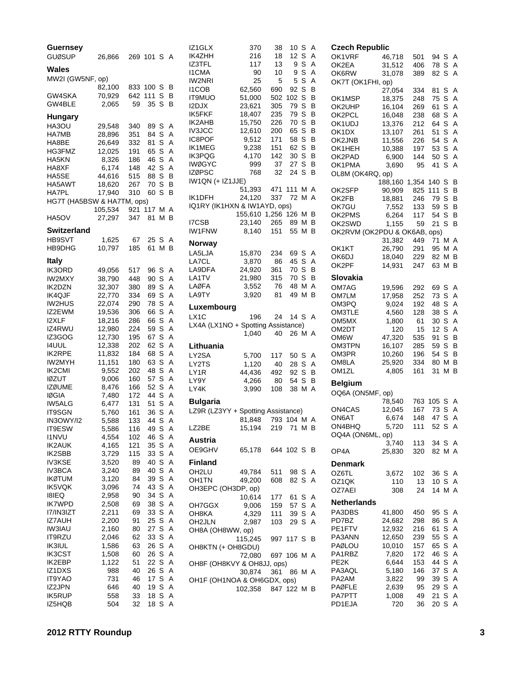| Guernsey<br><b>GUØSUP</b>      | 26,866           |            | 269 101 S A |        |        | IZ1<br>IK4       |
|--------------------------------|------------------|------------|-------------|--------|--------|------------------|
|                                |                  |            |             |        |        | IZ3              |
| Wales                          |                  |            |             |        |        | 11C              |
| MW2I (GW5NF, op)               |                  |            |             |        |        | IW2              |
|                                | 82,100           | 833        | 100         | S      | В<br>В | 11 C             |
| GW4SKA<br>GW4BLE               | 70,929<br>2,065  | 642<br>59  | 111<br>35   | S<br>S | В      | IT9I             |
|                                |                  |            |             |        |        | I <sub>2</sub> D |
| <b>Hungary</b>                 |                  |            |             |        |        | IK5<br>IK2       |
| HA3OU                          | 29,548           | 340        | 89          | S      | Α      | IV <sub>3</sub>  |
| HA7MB                          | 28,896           | 351        | 84          | S      | A      | IC <sub>8</sub>  |
| HA8BE<br>HG3FMZ                | 26,649<br>12,025 | 332<br>191 | 81<br>65    | S<br>S | A<br>Α | IK1              |
| HA5KN                          | 8,326            | 186        | 46          | S      | A      | IКЗ              |
| HA8XF                          | 6,174            | 148        | 42          | S      | A      | <b>IWØ</b>       |
| HA5SE                          | 44,616           | 515        | 88          | S      | В      | IZØ              |
| HA5AWT                         | 18,620           | 267        | 70          | S      | В      | IW <sub>1</sub>  |
| <b>HA7PL</b>                   | 17,940           | 310        | 60          | S      | В      | IK1              |
| HG7T (HA5BSW & HA7TM, ops)     |                  |            |             |        |        | IQ1              |
|                                | 105,534          | 921        | 117         | Μ      | Α      |                  |
| HA5OV                          | 27,297           | 347        | 81          | М      | В      | I7C              |
| <b>Switzerland</b>             |                  |            |             |        |        | IW <sub>1</sub>  |
| <b>HB9SVT</b>                  | 1,625            | 67         | 25          | S      | Α      | No               |
| HB9DHG                         | 10,797           | 185        | 61          | Μ      | в      | <b>LA</b>        |
| <b>Italy</b>                   |                  |            |             |        |        | LA7              |
| IK3ORD                         | 49,056           | 517        | 96          | S      | Α      | LAS              |
| IW2MXY                         | 38,790           | 448        | 90          | S      | A      | LA <sub>1</sub>  |
| IK2DZN                         | 32,307           | 380        | 89          | S      | A      | LAØ              |
| <b>IK4QJF</b>                  | 22,770           | 334        | 69          | S      | A      | LAS              |
| <b>IW2HUS</b>                  | 22,074           | 290        | 78          | S      | Α      | Lu:              |
| IZ2EWM                         | 19,536           | 306        | 66          | S      | Α      | LX1              |
| <b>I2XLF</b><br>IZ4RWU         | 18,216<br>12,980 | 286<br>224 | 66<br>59    | S<br>S | Α<br>A | LX4              |
| IZ3GOG                         | 12,730           | 195        | 67          | S      | Α      |                  |
| 14UUL                          | 12,338           | 202        | 62          | S      | Α      | Litl             |
| <b>IK2RPE</b>                  | 11,832           | 184        | 68          | S      | Α      | LY2              |
| IW2MYH                         | 11,151           | 180        | 63          | S      | Α      | LY2              |
| IK2CMI                         | 9,552            | 202        | 48          | S      | A      | LY1              |
| <b>IØZUT</b>                   | 9,006            | 160        | 57          | S      | Α      | LY <sub>S</sub>  |
| <b>IZØUME</b>                  | 8,476            | 166        | 52          | S      | Α      | LY4              |
| <b>IØGIA</b>                   | 7,480            | 172        | 44          | S      | Α<br>A | Bu               |
| <b>IW5ALG</b><br><b>IT9SGN</b> | 6,477<br>5,760   | 131<br>161 | 51<br>36    | S<br>S | Α      | LZS              |
| IN3OWY/I2                      | 5,588            | 133        | 44          | S      | Α      |                  |
| IT9ESW                         | 5,586            | 116        | 49          | S      | Α      | LZ2              |
| <b>I1NVU</b>                   | 4,554            | 102        | 46          | S      | Α      | Au               |
| <b>IK2AUK</b>                  | 4,165            | 121        | 35          | S      | Α      | OE:              |
| IK2SBB                         | 3,729            | 115        | 33          | S      | Α      |                  |
| <b>IV3KSE</b>                  | 3,520            | 89         | 40          | S      | A      | Fin              |
| IV3BCA                         | 3,240            | 89         | 40          | S      | Α      | OH               |
| <b>IKØTUM</b><br><b>IK5VQK</b> | 3,120            | 84<br>74   | 39<br>43    | S<br>S | Α<br>A | OH               |
| 18IEQ                          | 3,096<br>2,958   | 90         | 34          | S      | Α      | OH               |
| <b>IK7WPD</b>                  | 2,508            | 69         | 38          | S      | A      | OH               |
| I7/IN3IZT                      | 2,211            | 69         | 33          | S      | Α      | OH               |
| <b>IZ7AUH</b>                  | 2,200            | 91         | 25          | S      | Α      | OH               |
| <b>IW3IAU</b>                  | 2,160            | 80         | 27          | S      | A      | OH               |
| IT9RZU                         | 2,046            | 62         | 33          | S      | Α      |                  |
| <b>IK3IUL</b>                  | 1,586            | 63         | 26          | S      | A      | OН               |
| <b>IK3CST</b>                  | 1,508            | 60         | 26          | S      | Α      |                  |
| IK2EBP                         | 1,122            | 51<br>40   | 22          | S<br>S | Α<br>A | OH               |
| IZ1DXS<br>IT9YAO               | 988<br>731       | 46         | 26<br>17    | S      | Α      |                  |
| IZ2JPN                         | 646              | 40         | 19          | S      | A      | OH               |
| <b>IK5RUP</b>                  | 558              | 33         | 18          | S      | Α      |                  |
| IZ5HQB                         | 504              | 32         | 18          | S      | Α      |                  |

| IZ1GLX                             | 370               | 38          | 10          | S      | Α      | Сz       |
|------------------------------------|-------------------|-------------|-------------|--------|--------|----------|
| IK4ZHH                             | 216               | 18          | 12          | S      | A      | O۲       |
| IZ3TFL<br><b>I1CMA</b>             | 117               | 13<br>10    | 9<br>9      | S      | A<br>Α | O۲       |
| <b>IW2NRI</b>                      | 90<br>25          | 5           | 5           | S<br>S | A      | O۲       |
| <b>I1COB</b>                       | 62,560            | 690         | 92          | S      | В      | O۲       |
| <b>IT9MUO</b>                      | 51,000            | 502         | 102         | S      | B      | O۲       |
| I2DJX                              | 23,621            | 305         | 79          | S      | B      | O۲       |
| IK5FKF                             | 18,407            | 235         | 79          | S      | В      |          |
| <b>IK2AHB</b>                      | 15,750            | 226         | 70          | S      | В      | O۲<br>O۲ |
| <b>IV3JCC</b>                      | 12,610            | 200         | 65          | S      | В      |          |
| IC8POF                             | 9,512             | 171         | 58          | S      | В      | O۲       |
| IK1MEG                             | 9,238             | 151         | 62          | S      | B      | O۲       |
| <b>IK3PQG</b>                      | 4,170             | 142         | 30          | S      | В      | O۲       |
| <b>IWØGYC</b>                      | 999               | 37          | 27          | S      | В      | O۲       |
| <b>IZØPSC</b>                      | 768               | 32          | 24          | S      | B      | O۲       |
| IW1QN (+ IZ1JJE)                   |                   |             |             |        |        | OL       |
|                                    | 51,393            | 471         | 111         | МA     |        |          |
| IK1DFH                             | 24,120            | 337         | 72          | МA     |        | O۲       |
| IQ1RY (IK1HXN & IW1AYD, ops)       |                   |             |             |        |        | O۲       |
|                                    | 155,610 1,256 126 |             |             | ΜВ     |        | O۲       |
| I7CSB                              | 23,140            | 265         | 89 M B      |        |        | O۲       |
| <b>IW1FNW</b>                      | 8,140             | 151         | 55 M B      |        |        | O۲       |
|                                    |                   |             |             |        |        | O۲       |
| Norway                             |                   |             |             |        |        |          |
| LA5LJA                             | 15,870            | 234         | 69 S        |        | Α      | O۲       |
| LA7CL                              | 3,870             | 86          | 45 S        |        | Α      | O۲       |
| LA9DFA                             | 24,920            | 361         | 70 S        |        | В      | O۲       |
| LA1TV                              | 21,980            | 315         | 70 S        |        | в      | SI       |
| LAØFA                              | 3,552             | 76          | 48 M A      |        |        | О١       |
| LA9TY                              | 3,920             | 81          | 49          | M      | B      | O١       |
|                                    |                   |             |             |        |        | О١       |
| Luxembourg                         |                   |             |             |        |        | О١       |
| LX1C                               | 196               | 24          | 14 S        |        | A      | О١       |
| LX4A (LX1NO + Spotting Assistance) |                   |             |             |        |        | O١       |
|                                    | 1,040             | 40          | 26 M A      |        |        | О١       |
| Lithuania                          |                   |             |             |        |        | О١       |
| LY2SA                              | 5,700             | 117         | 50 S        |        | Α      | О١       |
| LY2TS                              | 1,120             | 40          | 28          | S      | Α      | О١       |
| LY1R                               | 44,436            | 492         | 92          | S      | B      | О١       |
| LY9Y                               | 4,266             | 80          | 54          | S      | в      |          |
| LY4K                               | 3,990             | 108         | 38 M        |        | A      | В٤       |
|                                    |                   |             |             |        |        | O        |
| <b>Bulgaria</b>                    |                   |             |             |        |        |          |
| LZ9R (LZ3YY + Spotting Assistance) |                   |             |             |        |        | О١       |
|                                    | 81,848            |             | 793 104 M A |        |        | О١       |
| LZ2BE                              | 15,194            | 219 71 M B  |             |        |        | О١       |
|                                    |                   |             |             |        |        | О        |
| Austria                            |                   |             |             |        |        |          |
| OE9GHV                             | 65,178            | 644 102 S B |             |        |        | OF       |
| Finland                            |                   |             |             |        |        | Dε       |
| OH <sub>2</sub> LU                 | 49,784            | 511         | 98 S        |        | Α      | ΟZ       |
| OH1TN                              | 49,200            | 608         | 82 S        |        | A      | OZ       |
| OH3EPC (OH3DP, op)                 |                   |             |             |        |        | ΟZ       |
|                                    | 10,614            | 177         | 61          | S      | A      |          |
| OH7GGX                             | 9,006             | 159         | 57          | S      | Α      | Νe       |
| OH8KA                              | 4,329             | 111         | 39          | S      | A      | P٨       |
| OH2JLN                             | 2,987             | 103         | 29 S        |        | A      | PD       |
| OH8A (OH8WW, op)                   |                   |             |             |        |        | РE       |
|                                    | 115,245           | 997 117 S   |             |        | в      | P۵       |
| OH8KTN (+ OH8GDU)                  |                   |             |             |        |        | P٨       |
|                                    | 72,080            |             | 697 106 M A |        |        | PΑ       |
| OH8F (OH8KVY & OH8JJ, ops)         |                   |             |             |        |        | РE       |
|                                    | 30,874            | 361         | 86          | МA     |        | PΑ       |
| OH1F (OH1NOA & OH6GDX, ops)        |                   |             |             |        |        | P٨       |
|                                    | 102,358           |             | 847 122 M B |        |        | P٨       |
|                                    |                   |             |             |        |        | PΑ       |
|                                    |                   |             |             |        |        | РC       |

| Czech Republic               |         |       |          |   |
|------------------------------|---------|-------|----------|---|
| OK1VRF                       | 46,718  | 501   | 94 S     | Α |
| OK2EA                        | 31,512  | 406   | 78<br>S  | Α |
|                              | 31,078  |       | 82 S     | A |
| OK6RW                        |         | 389   |          |   |
| OK7T (OK1FHI, op)            |         |       |          |   |
|                              | 27,054  | 334   | 81<br>S  | Α |
| OK1MSP                       | 18,375  | 248   | 75<br>S  | Α |
| OK2UHP                       | 16,104  | 269   | S<br>61  | A |
| OK2PCL                       | 16,048  | 238   | 68<br>S  | A |
| OK1UDJ                       | 13,376  | 212   | S<br>64  | A |
| OK1DX                        | 13,107  | 261   | 51<br>S  | A |
| OK2JNB                       | 11,556  | 226   | 54<br>S  | A |
| OK1HEH                       | 10,388  | 197   | 53<br>S  | A |
| OK2PAD                       | 6,900   | 144   | 50<br>S  | Α |
| OK1PMA                       | 3,690   | 95    | S<br>41  | A |
| OL8M (OK4RQ, op)             |         |       |          |   |
|                              | 188,160 | 1,354 | 140 S    | В |
| OK2SFP                       | 90,909  | 825   | 111<br>S | В |
| OK2FB                        | 18,881  | 246   | 79<br>S  | В |
| OK7GU                        | 7,552   | 133   | 59<br>s  | в |
| OK2PMS                       | 6,264   | 117   | 54<br>S  | В |
| OK2SWD                       | 1,155   | 59    | S<br>21  | В |
| OK2RVM (OK2PDU & OK6AB, ops) |         |       |          |   |
|                              | 31,382  | 449   | 71<br>M  | A |
| OK1KT                        | 26,790  | 291   | 95<br>М  | Α |
| OK6DJ                        | 18,040  | 229   | 82<br>М  | В |
| OK2PF                        | 14,931  | 247   | 63<br>М  | В |
|                              |         |       |          |   |
| Slovakia                     |         |       |          |   |
| OM7AG                        | 19,596  | 292   | 69 S     | Α |
| OM7LM                        | 17,958  | 252   | 73<br>S  | A |
| OM3PQ                        | 9,024   | 192   | S.<br>48 | A |
| OM3TLE                       | 4,560   | 128   | 38 S     | Α |
| ОМ5МХ                        | 1,800   | 61    | 30<br>S  | A |
| OM2DT                        | 120     | 15    | 12<br>s  | Α |
| OM6W                         | 47,320  | 535   | 91<br>S  | В |
| OM3TPN                       | 16,107  | 285   | 59<br>S  | В |
| OM3PR                        | 10,260  | 196   | 54 S     | В |
| OM8LA                        | 25,920  | 334   | M<br>80  | В |
| OM1ZL                        | 4,805   | 161   | М<br>31  | В |
|                              |         |       |          |   |
| <b>Belgium</b>               |         |       |          |   |
| OQ6A (ON5MF, op)             |         |       |          |   |
|                              | 78,540  | 763   | 105 S    | A |
| ON4CAS                       | 12,045  | 167   | 73<br>S  | A |
| ON6AT                        | 6,674   | 148   | 47 S     | A |
| ON4BHQ                       | 5,720   | 111   | 52<br>S  | A |
| OQ4A (ON6ML, op)             |         |       |          |   |
|                              | 3,740   | 113   | 34 S     | A |
| OP4A                         | 25,830  | 320   | 82<br>М  | Α |
|                              |         |       |          |   |
| Denmark                      |         |       |          |   |
| OZ6TL                        | 3,672   | 102   | S<br>36  | Α |
| OZ1QK                        | 110     | 13    | S<br>10  | Α |
| OZ7AEI                       | 308     | 24    | 14<br>M  | Α |
|                              |         |       |          |   |
| Netherlands                  |         |       |          |   |
| PA3DBS                       | 41,800  | 450   | 95<br>S  | Α |
| PD7BZ                        | 24,682  | 298   | 86<br>S  | A |
| PE1FTV                       | 12,932  | 216   | S<br>61  | A |
| PA3ANN                       | 12,650  | 239   | 55<br>S  | Α |
| PAØLOU                       | 10,010  | 157   | S<br>65  | A |
| PA1RBZ                       | 7,820   | 172   | S<br>46  | A |
| PE2K                         | 6,644   | 153   | S<br>44  | A |
| PA3AQL                       | 5,180   | 146   | S<br>37  | Α |
| PA2AM                        | 3,822   | 99    | 39<br>S  | Α |
| PAØFLE                       | 2,639   | 95    | 29<br>S  | A |
| PA7PTT                       | 1,008   | 49    | S<br>21  | Α |
| PD1EJA                       | 720     | 36    | S<br>20  | A |
|                              |         |       |          |   |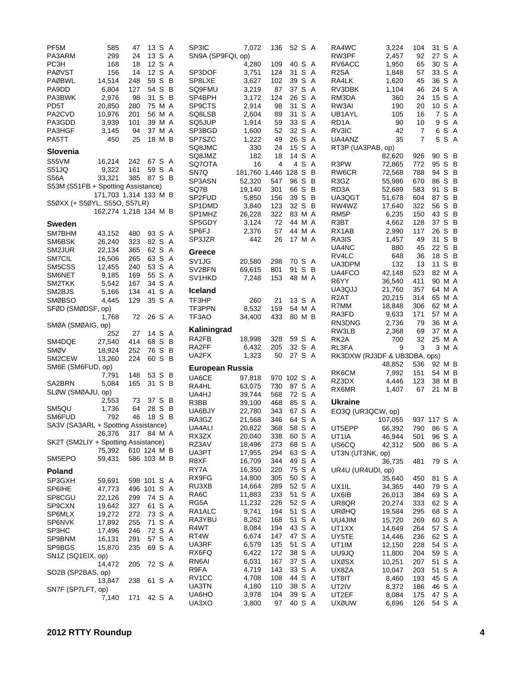| PF5M                                | 585                   | 47          | 13 S A |        | SP3IC             | 7,072                 | 136         | 52 S A |       | RA4WC                        | 3,224           | 104         | 31 S A           |       |  |
|-------------------------------------|-----------------------|-------------|--------|--------|-------------------|-----------------------|-------------|--------|-------|------------------------------|-----------------|-------------|------------------|-------|--|
| PA3ARM                              | 299                   | 24          |        | 13 S A | SN9A (SP9FQI, op) |                       |             |        |       | RW3PF                        | 2,457           | 92          | 27               | S A   |  |
| PC3H                                | 168                   | 18          |        | 12 S A |                   | 4,280                 | 109         | 40 S A |       | RV6ACC                       | 1,950           | 65          | 30 S A           |       |  |
| <b>PAØVST</b>                       | 156                   | 14          |        | 12 S A | SP3DOF            | 3,751                 | 124         | 31 S A |       | R <sub>2</sub> SA            | 1,848           | 57          | 33 S A           |       |  |
| <b>PAØBWL</b>                       | 14,514                | 248         | 59 S B |        | SP8LXE            | 3,627                 | 102         | 39 S A |       | RA4LK                        | 1,620           | 45          | 36 S A           |       |  |
| PA9DD                               | 6,804                 | 127         | 54 S B |        | SQ9FMU            | 3,219                 | 87          | 37 S A |       | RV3DBK                       | 1,104           | 46          | 24 S A           |       |  |
| PA3BWK                              | 2,976                 | 98          |        | 31 S B | SP4BPH            | 3,172                 | 124         | 26 S A |       | RM3DA                        | 360             | 24          | 15 S A           |       |  |
| PD5T                                | 20,850                | 280         | 75 M A |        | SP9CTS            | 2,914                 | 98          | 31 S A |       | RW3AI                        | 190             | 20          | 10 S A           |       |  |
| PA2CVD                              | 10,976                | 201         |        | 56 M A | SQ8LSB            | 2,604                 | 89          | 31 S A |       | UB1AYL                       | 105             | 16          |                  | 7 S A |  |
| PA3GDD                              | 3,939                 | 101         |        | 39 M A | SQ5JUP            | 1,914                 | 59          | 33 S A |       | RD <sub>1</sub> A            | 90              | 10          |                  | 9 S A |  |
| PA3HGF                              | 3,145                 | 94          | 37 M A |        | SP3BGD            | 1,600                 | 52          | 32 S A |       | RV3IC                        | 42              | 7           |                  | 6 S A |  |
| PA5TT                               | 450                   | 25          |        | 18 M B | SP7SZC            | 1,222                 | 49          | 26 S A |       | UA4ANZ                       | 35              | 7           |                  | 5 S A |  |
|                                     |                       |             |        |        | SQ8JMC            | 330                   | 24          | 15 S A |       | RT3P (UA3PAB, op)            |                 |             |                  |       |  |
| Slovenia                            |                       |             |        |        | SQ8JMZ            | 182                   | 18          | 14 S A |       |                              | 82,620          | 926         | 90 S B           |       |  |
| S55VM                               | 16,214                | 242         | 67 S A |        | SQ7OTA            | 16                    | 4           |        | 4 S A | R3PW                         | 72,865          | 772         | 95 S B           |       |  |
| S51JQ                               | 9,322                 | 161         |        | 59 S A | SN7Q              | 181,760 1,446 128 S B |             |        |       | RW6CR                        |                 | 788         | 94 S B           |       |  |
| <b>S56A</b>                         | 33,321                | 385         | 87 S B |        | SP3ASN            |                       |             | 96 S B |       |                              | 72,568          |             | 86 S B           |       |  |
| S53M (S51FB + Spotting Assistance)  |                       |             |        |        |                   | 52,320                | 547         |        |       | R3GZ                         | 55,986          | 670         |                  |       |  |
|                                     | 171,703 1,314 133 M B |             |        |        | SQ7B              | 19,140                | 301         | 66 S B |       | RD3A                         | 52,689          | 583         | 91 S B           |       |  |
| S50XX (+ S50YL, S55O, S57LR)        |                       |             |        |        | SP2FUD            | 5,850                 | 156         | 39 S B |       | UA3QGT                       | 51,678          | 604         | 87 S B           |       |  |
|                                     | 162,274 1,218 134 M B |             |        |        | SP1DMD            | 3,840                 | 123         | 32 S B |       | RW4WZ                        | 17,640          | 322         | 56 S B           |       |  |
|                                     |                       |             |        |        | SP1MHZ            | 26,228                | 322         | 83 M A |       | RM <sub>5</sub> P            | 6,235           | 150         | 43 S B           |       |  |
| <b>Sweden</b>                       |                       |             |        |        | SP5GDY            | 3,124                 | 72          | 44 M A |       | R3BT                         | 4,662           | 128         | 37 S B           |       |  |
| SM7BHM                              | 43,152                | 480         | 93 S A |        | SP6FJ             | 2,376                 | 57          | 44 M A |       | RX1AB                        | 2,990           | 117         | 26 S B           |       |  |
| SM6BSK                              | 26,240                | 323         | 82 S A |        | SP3JZR            | 442                   | 26          | 17 M A |       | RA3IS                        | 1,457           | 49          | 31 S B           |       |  |
| SM2JUR                              | 22.134                | 365         | 62 S A |        | Greece            |                       |             |        |       | UA4NC                        | 880             | 45          | 22 S B           |       |  |
| SM7CIL                              | 16,506                | 265         | 63 S A |        |                   |                       |             |        |       | RV4LC                        | 648             | 36          | 18 S B           |       |  |
| SM5CSS                              | 12,455                | 240         | 53 S A |        | SV <sub>1JG</sub> | 20,580                | 298         | 70 S A |       | UA3DPM                       | 132             | 13          | 11               | S B   |  |
| SM6NET                              | 9,185                 | 169         | 55 S A |        | SV2BFN            | 69,615                | 801         | 91 S B |       | UA4FCO                       | 42,148          | 523         | 82 M A           |       |  |
| SM2TKK                              | 5,542                 | 167         |        | 34 S A | SV1HKD            | 7,248                 | 153         | 48 M A |       | R6YY                         | 36,540          | 411         | 90 M A           |       |  |
| SM2BJS                              | 5,166                 | 134         |        | 41 S A | <b>Iceland</b>    |                       |             |        |       | UA3QJJ                       | 21,760          | 357         | 64 M A           |       |  |
| <b>SMØBSO</b>                       | 4,445                 | 129         |        | 35 S A | TF3HP             | 260                   | 21          | 13 S A |       | R <sub>2</sub> AT            | 20,215          | 314         | 65 M A           |       |  |
|                                     |                       |             |        |        |                   |                       |             | 54 M A |       | R7MM                         | 18,848          | 306         | 62 M A           |       |  |
| SFØD (SMØDSF, op)                   |                       |             |        |        | TF3PPN            | 8,532                 | 159         |        |       | RA3FD                        | 9,633           | 171         | 57 M A           |       |  |
|                                     | 1,768                 | 72          | 26 S A |        | TF3AO             | 34,400                | 433         | 80 M B |       | RN3DNG                       | 2,736           | 79          | 36 M A           |       |  |
| SMØA (SMØAIG, op)                   |                       |             |        |        | Kaliningrad       |                       |             |        |       | RW3LB                        | 2,368           | 69          | 37 M A           |       |  |
|                                     | 252                   | 27          |        | 14 S A | RA2FB             | 18,998                | 328         | 59 S A |       | RK <sub>2</sub> A            | 700             | 32          | 25 M A           |       |  |
| SM4DQE                              | 27,540                | 414         | 68 S B |        | RA2FF             | 6,432                 | 205         | 32 S A |       | RL3FA                        | 9               | 3           |                  | 3 M A |  |
| SMØV                                | 18,924                | 252         | 76 S B |        | UA2FX             | 1,323                 | 50          | 27 S A |       | RK3DXW (RJ3DF & UB3DBA, ops) |                 |             |                  |       |  |
| SM2CEW                              | 13,260                | 224         |        | 60 S B |                   |                       |             |        |       |                              |                 |             |                  |       |  |
| SM6E (SM6FUD, op)                   |                       |             |        |        | European Russia   |                       |             |        |       | RK6CM                        | 48,852<br>7,992 | 536         | 92 M B<br>54 M B |       |  |
|                                     | 7,791                 | 148         | 53 S B |        | UA6CE             | 97,818                | 970 102 S A |        |       |                              |                 | 151         |                  |       |  |
| SA2BRN                              | 5,084                 | 165         | 31 S B |        | RA4HL             | 63,075                | 730         | 87 S A |       | RZ3DX                        | 4,446           | 123         | 38 M B           |       |  |
| SLØW (SMØAJU, op)                   |                       |             |        |        | UA4HJ             | 39,744                | 568         | 72 S A |       | RX6MR                        | 1,407           | 67          | 21 M B           |       |  |
|                                     | 2,553                 | 73          | 37 S B |        | R3BB              | 39,100                | 468         | 85 S A |       | <b>Ukraine</b>               |                 |             |                  |       |  |
| SM5QU                               | 1,736                 | 64          | 28 S B |        | UA6BJY            | 22,780                | 343         | 67 S A |       | EO3Q (UR3QCW, op)            |                 |             |                  |       |  |
| SM6FUD                              | 792                   | 46          | 18 S B |        | RA3GZ             | 21,568                | 346         | 64 S A |       |                              | 107,055         | 937 117 S A |                  |       |  |
| SA3V (SA3ARL + Spotting Assistance) |                       |             |        |        | UA4ALI            | 20,822                | 368         | 58 S A |       | UT5EPP                       | 66,392          | 790         | 86 S A           |       |  |
|                                     | 26,376 317 84 M A     |             |        |        | RX3ZX             | 20,040                | 338         | 60 S A |       | UT1IA                        | 46,944          | 501         | 96 S A           |       |  |
| SK2T (SM2LIY + Spotting Assistance) |                       |             |        |        | RZ3AV             | 18,496                | 273         | 68 S A |       | US6CQ                        | 42,312          | 500         | 86 S A           |       |  |
|                                     | 75,392                | 610 124 M B |        |        | UA3PT             | 17,955                | 294         | 63 S A |       | UT3N (UT3NK, op)             |                 |             |                  |       |  |
| SM5EPO                              | 59,431                | 586 103 M B |        |        | R8XF              | 16,709                | 344         | 49 S A |       |                              |                 |             |                  |       |  |
|                                     |                       |             |        |        | RY7A              |                       |             | 75 S A |       |                              | 36,735          | 481         | 79 S A           |       |  |
| <b>Poland</b>                       |                       |             |        |        |                   | 16,350                | 220         |        |       | UR4U (UR4UDI, op)            |                 |             |                  |       |  |
| SP3GXH                              | 59,691                | 598 101 S A |        |        | RX9FG             | 14,800                | 305         | 50 S A |       |                              | 35,640          | 450         | 81 S A           |       |  |
| SP6IHE                              | 47,773                | 496 101 S A |        |        | RU3XB             | 14,664                | 289         | 52 S A |       | UX1IL                        | 34,365          | 440         | 79 S A           |       |  |
| SP8CGU                              | 22,126                | 299         | 74 S A |        | RA6C              | 11,883                | 233         | 51 S A |       | UX6IB                        | 26,013          | 384         | 69 S A           |       |  |
| SP9CXN                              | 19,642                | 327         | 61 S A |        | RG5A              | 11,232                | 226         | 52 S A |       | UR8QR                        | 20,274          | 333         | 62 S A           |       |  |
| SP6MLX                              | 19,272                | 272         | 73 S A |        | RA1ALC            | 9,741                 | 194         | 51 S A |       | <b>URØHQ</b>                 | 19,584          | 295         | 68 S A           |       |  |
| SP6NVK                              | 17,892                | 255         | 71 S A |        | RA3YBU            | 8,262                 | 168         | 51 S A |       | UU4JIM                       | 15,720          | 269         | 60 S A           |       |  |
| SP3HC                               | 17,496                | 246         | 72 S A |        | R4WT              | 8,084                 | 194         | 43 S A |       | UT1XX                        | 14,649          | 264         | 57 S A           |       |  |
| SP9BNM                              | 16,131                | 291         | 57 S A |        | RT4W              | 6,674                 | 147         | 47 S A |       | UY5TE                        | 14,446          | 236         | 62 S A           |       |  |
| SP9BGS                              | 15,870                | 235         | 69 S A |        | UA3RF             | 6,579                 | 135         | 51 S A |       | UT1IM                        | 12,150          | 228         | 54 S A           |       |  |
| SN1Z (SQ1EIX, op)                   |                       |             |        |        | RX6FQ             | 6,422                 | 172         | 38 S A |       | <b>UU9JQ</b>                 | 11,800          | 204         | 59 S A           |       |  |
|                                     | 14,472                | 205         | 72 S A |        | RN6AI             | 6,031                 | 167         | 37 S A |       | <b>UXØSX</b>                 | 10,251          | 207         | 51 S A           |       |  |
| SO2B (SP2BAS, op)                   |                       |             |        |        | R9FA              | 4,719                 | 143         | 33 S A |       | UX8ZA                        | 10,047          | 203         | 51 S A           |       |  |
|                                     |                       | 238         |        |        | RV1CC             | 4,708                 | 108         | 44 S A |       | UT8IT                        | 8,460           | 193         | 45 S A           |       |  |
|                                     |                       |             |        |        |                   |                       |             |        |       |                              |                 |             |                  |       |  |
|                                     | 13,847                |             |        | 61 S A |                   | 4,180                 | 110         | 38 S A |       |                              |                 |             |                  |       |  |
| SN7F (SP7LFT, op)                   |                       |             |        |        | UA3TN             |                       | 104         | 39 S A |       | UT2IV<br>UT2EF               | 8,372           | 186<br>175  | 46 S A           |       |  |
|                                     | 7,140                 | 171         |        | 42 S A | UA6HO<br>UA3XO    | 3,978<br>3,800        | 97          | 40 S A |       | <b>UXØUW</b>                 | 8,084<br>6,696  | 126         | 47 S A<br>54 S A |       |  |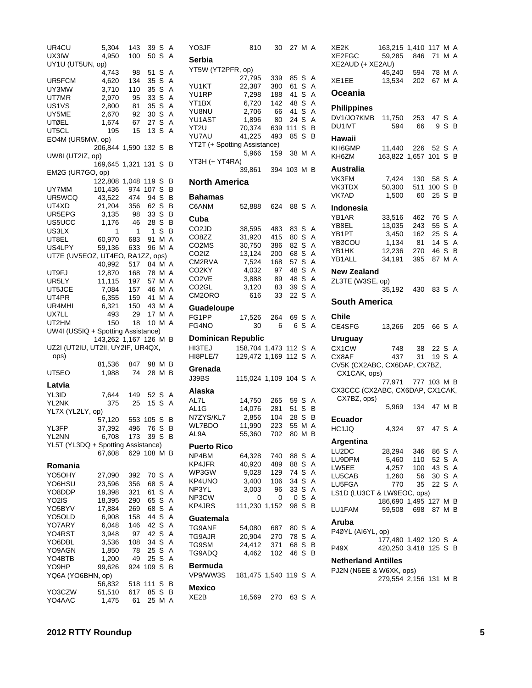| UR4CU                              |                       | 143       | 39         | S        | Α |
|------------------------------------|-----------------------|-----------|------------|----------|---|
|                                    | 5,304                 |           |            |          |   |
| UX3IW                              | 4,950                 | 100       | 50 S       |          | А |
| UY1U (UT5UN, op)                   |                       |           |            |          |   |
|                                    | 4,743                 | 98        | 51         | S        | Α |
| UR5FCM                             | 4,620                 | 134       | 35         | S        | Α |
|                                    |                       |           |            |          |   |
| UY3MW                              | 3,710                 | 110       | 35         | S        | A |
| UT7MR                              | 2,970                 | 95        | 33         | S        | Α |
| US1VS                              | 2,800                 | 81        | 35         | S        | Α |
| UY5ME                              | 2,670                 | 92        | 30         | S        | Α |
|                                    |                       |           |            |          |   |
| <b>UTØEL</b>                       | 1,674                 | 67        | 27         | S        | Α |
| UT5CL                              | 195                   | 15        | 13         | S        | A |
| EO4M (UR5MW, op)                   |                       |           |            |          |   |
|                                    | 206,844 1,590 132 S   |           |            |          | В |
|                                    |                       |           |            |          |   |
| UW8I (UT2IZ, op)                   |                       |           |            |          |   |
|                                    | 169,645 1,321         |           | 131        | S        | В |
| EM2G (UR7GO, op)                   |                       |           |            |          |   |
|                                    | 122,808               | 1,048     | 119        | S        | В |
|                                    |                       |           |            |          |   |
| UY7MM                              | 101,436               | 974       | 107        | S        | В |
| UR5WCQ                             | 43,522                | 474       | 94         | S        | В |
| UT4XD                              | 21,204                | 356       | 62         | S        | В |
| UR5EPG                             | 3,135                 | 98        | 33 S       |          | В |
|                                    |                       |           |            |          |   |
| US5UCC                             | 1,176                 | 46        | 28 S       |          | В |
| US3LX                              | 1                     | 1         | 1          | S        | В |
| UT8EL                              | 60,970                | 683       | 91         | М        | Α |
| US4LPY                             |                       | 633       |            |          | Α |
|                                    | 59,136                |           | 96         | М        |   |
| UT7E (UV5EOZ, UT4EO, RA1ZZ, ops)   |                       |           |            |          |   |
|                                    | 40,992                | 517       | 84 M       |          | Α |
| UT9FJ                              | 12,870                | 168       | 78         | МA       |   |
|                                    |                       |           |            |          |   |
| UR5LY                              | 11,115                | 197       | 57 M       |          | Α |
| UT5JCE                             | 7,084                 |           | 157 46 M A |          |   |
| UT4PR                              | 6,355                 | 159       | 41 M       |          | A |
| UR4MHI                             | 6,321                 | 150       | 43 M       |          | A |
|                                    |                       |           |            |          |   |
| UX7LL                              | 493                   | 29        | 17 M A     |          |   |
| UT2HM                              | 150                   | 18        | 10         | М        | A |
|                                    |                       |           |            |          |   |
|                                    |                       |           |            |          |   |
| UW4I (US5IQ + Spotting Assistance) |                       |           |            |          |   |
|                                    | 143,262 1,167 126 M B |           |            |          |   |
| UZ2I (UT2IU, UT2II, UY2IF, UR4QX,  |                       |           |            |          |   |
| ops)                               |                       |           |            |          |   |
|                                    | 81,536                | 847       | 98         | M        | в |
|                                    |                       |           |            |          |   |
| UT5EO                              | 1,988                 | 74        | 28         | м        | в |
|                                    |                       |           |            |          |   |
| Latvia                             |                       |           |            |          |   |
| YL3ID                              | 7,644                 | 149       | 52         | S        | Α |
| YL2NK                              | 375                   | 25        | 15         | S        | A |
|                                    |                       |           |            |          |   |
| YL7X (YL2LY, op)                   |                       |           |            |          |   |
|                                    | 57,120 553            |           | 105        | S        | В |
| YL3FP                              | 37,392                | 496       | 76         | S        | В |
| YL2NN                              | 6,708                 | 173       | 39 S       |          | в |
|                                    |                       |           |            |          |   |
| YL5T (YL3DQ + Spotting Assistance) |                       |           |            |          |   |
|                                    | 67,608                |           | 629 108 M  |          | в |
|                                    |                       |           |            |          |   |
| Romania                            |                       |           |            |          |   |
| YO5OHY                             | 27,090                | 392       | 70         | S        | Α |
| YO6HSU                             | 23,596                | 356       | 68         | S        | Α |
|                                    |                       |           |            |          |   |
| YO8DDP                             | 19,398                | 321       | 61         | S        | Α |
| YO2IS                              | 18,395                | 290       | 65         | S        | Α |
| YO5BYV                             | 17,884                | 269       | 68         | S        | Α |
| YO5OLD                             | 6,908                 | 158       | 44         | S        | Α |
|                                    |                       |           |            |          |   |
| YO7ARY                             | 6,048                 | 146       | 42         | S        | Α |
| YO4RST                             | 3,948                 | 97        | 42         | S        | Α |
| YO6DBL                             | 3,536                 | 108       | 34         | S        | Α |
| YO9AGN                             | 1,850                 | 78        | 25         | S        | Α |
|                                    |                       |           |            |          |   |
| YO4BTB                             | 1,200                 | 49        | 25         | S        | Α |
| YO9HP                              | 99,626                | 924       | 109        | S        | В |
| YQ6A (YO6BHN, op)                  |                       |           |            |          |   |
|                                    |                       | 518       | 111        | S        | В |
|                                    | 56,832                |           |            |          |   |
| YO3CZW<br>YO4AAC                   | 51,510<br>1,475       | 617<br>61 | 85<br>25   | S<br>M A | В |

| YO3JF                          | 810                   | 30         | 27 M A      |        |                |
|--------------------------------|-----------------------|------------|-------------|--------|----------------|
| Serbia                         |                       |            |             |        |                |
| YT5W (YT2PFR, op)              |                       |            |             |        |                |
|                                | 27,795                | 339        | 85          | S      | A              |
| YU1KT                          | 22,387                | 380        | 61          | S      | Α              |
| YU1RP                          | 7,298                 | 188        | 41          | S      | A              |
| YT1BX                          | 6,720                 | 142        | 48          | S      | A              |
| YU8NU                          | 2,706                 | 66         | 41          | S      | A              |
| YU1AST                         | 1,896                 | 80         | 24          | S      | Α              |
| YT2U                           | 70,374                | 639        | 111         | S      | В              |
| YU7AU                          | 41,225                | 493        | 85          | S      | в              |
| YT2T (+ Spotting Assistance)   | 5,966                 | 159        | 38          |        | M A            |
| YT3H (+ YT4RA)                 |                       |            |             |        |                |
|                                | 39,861                |            | 394 103 M B |        |                |
| <b>North America</b>           |                       |            |             |        |                |
|                                |                       |            |             |        |                |
| Bahamas                        |                       |            |             |        |                |
| C6ANM                          | 52,888                | 624        | 88 S A      |        |                |
| Cuba                           |                       |            |             |        |                |
|                                |                       |            |             |        |                |
| CO <sub>2</sub> JD             | 38,595                | 483        | 83<br>80    | S      | Α<br>A         |
| CO8ZZ<br>CO2MS                 | 31,920<br>30,750      | 415        | 82          | S<br>S | A              |
| CO <sub>2</sub> I <sub>Z</sub> | 13,124                | 386<br>200 | 68          | S      | $\overline{A}$ |
| CM2RVA                         | 7,524                 | 168        | 57          | S      | A              |
| CO2KY                          | 4,032                 | 97         | 48          | S      | Α              |
| CO <sub>2</sub> VE             | 3,888                 | 89         | 48          | S      | A              |
| CO2GL                          | 3,120                 | 83         | 39          | S      | A              |
| CM2ORO                         | 616                   | 33         | 22          | S      | A              |
|                                |                       |            |             |        |                |
| <b>Guadeloupe</b>              |                       |            |             |        |                |
| FG1PP                          | 17,526                | 264        | 69 S        |        | A              |
| FG4NO                          | 30                    | 6          | 6           | S      | A              |
| <b>Dominican Republic</b>      |                       |            |             |        |                |
| HI3TEJ                         | 158,704 1,473 112 S   |            |             |        | A              |
| HI8PLE/7                       | 129,472 1,169         |            | 112 S       |        | A              |
| Grenada                        |                       |            |             |        |                |
| <b>J39BS</b>                   | 115,024 1,109 104 S A |            |             |        |                |
|                                |                       |            |             |        |                |
| Alaska                         |                       |            |             |        |                |
| AL7L                           | 14,750                | 265        | 59          | S      | Α              |
| AL1G<br>N7ZYS/KL7              | 14,076                | 281<br>104 | 51          | S<br>S | в<br>в         |
| WL7BDO                         | 2,856<br>11,990       | 223        | 28<br>55    | м      | Α              |
| AL9A                           |                       | 702        | 80 M B      |        |                |
|                                | 55,360                |            |             |        |                |
| Puerto Rico                    |                       |            |             |        |                |
| NP4BM                          | 64,328                | 740        | 88 S        |        | Α              |
| KP4JFR                         | 40,920                | 489        | 88          | S      | Α              |
| WP3GW                          | 9,028                 | 129        | 74 S        |        | A              |
| KP4UNO                         | 3,400                 | 106        | 34 S        |        | A              |
| NP3YL                          | 3,003                 | 96         | 33 S        |        | A              |
| NP3CW<br>KP4JRS                | 0                     | 0          | 0           | S<br>S | Α<br>в         |
|                                | 111,230 1,152         |            | 98          |        |                |
| Guatemala                      |                       |            |             |        |                |
| TG9ANF                         | 54,080                | 687        | 80          | S      | Α              |
| TG9AJR                         | 20,904                | 270        | 78          | S      | Α              |
| TG9SM                          | 24,412                | 371        | 68 S        |        | в              |
| TG9ADQ                         | 4,462                 | 102        | 46 S        |        | в              |
| Bermuda                        |                       |            |             |        |                |
| VP9/WW3S                       | 181,475 1,540 119 S A |            |             |        |                |
|                                |                       |            |             |        |                |
| Mexico                         |                       |            |             |        |                |
| XE2B                           | 16,569                | 270        | 63 S A      |        |                |

| XE2K<br>XE2FGC<br>XE2AUD (+ XE2AU)                    | 163,215 1,410 117 M A<br>59,285            | 846        | 71                 |       | МA             |
|-------------------------------------------------------|--------------------------------------------|------------|--------------------|-------|----------------|
| XE1EE                                                 | 45,240<br>13,534                           | 594<br>202 | 78 M A<br>67 M A   |       |                |
| Oceania                                               |                                            |            |                    |       |                |
| <b>Philippines</b>                                    |                                            |            |                    |       |                |
| DV1/JO7KMB<br>DU1IVT                                  | 11,750 253<br>594                          | 66         | 47 S A             | 9 S B |                |
| Hawaii<br>KH6GMP<br>KH6ZM                             | 11,440 226 52 S<br>163,822 1,657 101 S     |            |                    |       | A<br>B         |
| Australia                                             |                                            |            |                    |       |                |
| VK3FM<br>VK3TDX                                       | 7,424<br>50,300                            | 130        | 58 S<br>511 100    | S     | Α<br>в         |
| VK7AD                                                 | 1,500                                      | 60         | 25 S               |       | В              |
| Indonesia                                             |                                            |            |                    |       |                |
| YB1AR<br>YB8EL                                        | 33,516<br>13,035                           | 462<br>243 | 76 S A<br>55 S A   |       |                |
| YB1PT                                                 | 3,450                                      | 162        | 25                 | S A   |                |
| YBØCOU                                                | 1,134                                      | 81         | 14 S A             |       |                |
| YB1HK                                                 | 12,236                                     | 270        | 46 S               |       | В              |
| YB1ALL                                                | 34,191                                     | 395        | 87 M               |       | A              |
| <b>New Zealand</b><br>ZL3TE (W3SE, op)                | 35,192 430 83 S A                          |            |                    |       |                |
| <b>South America</b>                                  |                                            |            |                    |       |                |
|                                                       |                                            |            |                    |       |                |
| <b>Chile</b><br>CE4SFG                                | 13,266 205 66 S A                          |            |                    |       |                |
| <b>Uruguay</b>                                        |                                            |            |                    |       |                |
| CX1CW<br>CX8AF                                        | 748<br>437                                 |            | 38 22 S A<br>31 19 | S A   |                |
| CV5K (CX2ABC, CX6DAP, CX7BZ,<br>CX1CAK, ops)          |                                            |            |                    |       |                |
|                                                       | 77,971 777 103 M B                         |            |                    |       |                |
| CX3CCC (CX2ABC, CX6DAP, CX1CAK,<br>CX7BZ, ops)        |                                            |            |                    |       |                |
|                                                       | 5.969                                      |            | 134 47 M B         |       |                |
| Ecuador                                               |                                            |            |                    |       |                |
| HC1JQ                                                 | 4,324                                      | 97         | 47 S A             |       |                |
| Argentina                                             |                                            |            |                    |       |                |
| LU2DC                                                 | 28,294                                     | 346        | 86 S               |       | A              |
| LU9DPM                                                | 5,460                                      | 110        | 52                 | S     | $\overline{A}$ |
| LW5EE                                                 | 4,257                                      | 100        | 43                 |       | S A            |
| LU5CAB                                                | 1,260                                      |            | 56 30 S A          |       |                |
| LU5FGA<br>LS1D (LU3CT & LW9EOC, ops)                  | 770                                        | 35         | 22 S A             |       |                |
|                                                       | 186,690 1,495 127 M B                      |            |                    |       |                |
| LU1FAM                                                | 59,508                                     | 698        | 87 M B             |       |                |
| Aruba                                                 |                                            |            |                    |       |                |
| P4ØYL (AI6YL, op)                                     |                                            |            |                    |       |                |
| P49X                                                  | 177,480 1,492 120 S<br>420,250 3,418 125 S |            |                    |       | A<br>- B       |
|                                                       |                                            |            |                    |       |                |
| <b>Netherland Antilles</b><br>PJ2N (N6EE & W6XK, ops) |                                            |            |                    |       |                |
|                                                       | 279,554 2,156 131 M B                      |            |                    |       |                |
|                                                       |                                            |            |                    |       |                |
|                                                       |                                            |            |                    |       |                |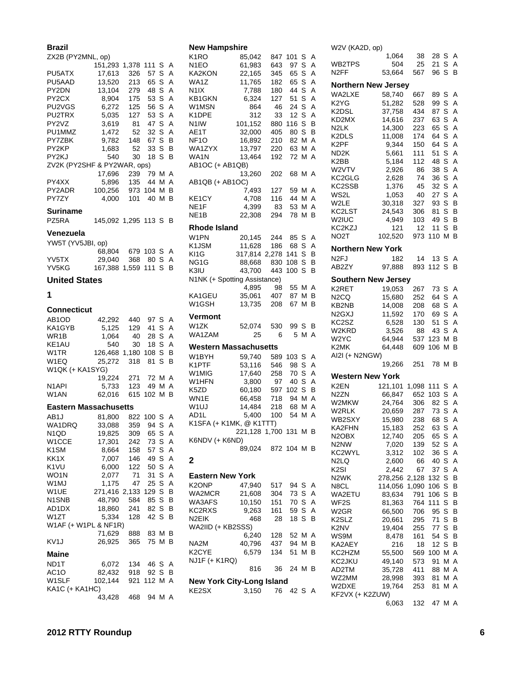| Brazil<br>ZX2B (PY2MNL, op)          |                     |       |             |        |   |
|--------------------------------------|---------------------|-------|-------------|--------|---|
|                                      | 151,293             | 1,378 | 111         | S      | Α |
| PU5ATX                               | 17,613              | 326   | 57          | S      | A |
| PU5AAD                               | 13,520              | 213   | 65          | s      | A |
| PY2DN                                | 13,104              | 279   | 48          | S      | A |
| PY2CX                                | 8,904               | 175   | 53          | S      | A |
| PU2VGS                               | 6,272               | 125   | 56          | S      | A |
| PU2TRX                               | 5,035               | 127   | 53          | S      | A |
| PY2VZ                                | 3,619               | 81    | 47          | S      | A |
| PU1MMZ                               |                     | 52    | 32          | S      | A |
| PY7ZBK                               | 1,472<br>9,782      | 148   | 67          | S      | В |
| PY2KP                                |                     |       |             |        | В |
|                                      | 1,683               | 52    | 33<br>18    | S<br>S | В |
| PY2KJ<br>ZV2K (PY2SHF & PY2WAR, ops) | 540                 | 30    |             |        |   |
|                                      |                     |       |             |        | Α |
| PY4XX                                | 17,696              | 239   | 79          | м      | Α |
|                                      | 5,896               | 135   | 44          | М      |   |
| PY2ADR                               | 100,256             | 973   | 104         | М      | в |
| PY7ZY                                | 4,000               | 101   | 40          | м      | В |
| Suriname                             |                     |       |             |        |   |
| PZ5RA                                | 145,092 1,295 113 S |       |             |        | В |
|                                      |                     |       |             |        |   |
| Venezuela                            |                     |       |             |        |   |
| YW5T (YV5JBI, op)                    |                     |       |             |        |   |
|                                      | 68,804              | 679   | 103         | S      | Α |
| YV5TX                                | 29,040              | 368   | 80          | S      | Α |
| YV5KG                                | 167,388             | 1,559 | 111         | S      | В |
| <b>United States</b>                 |                     |       |             |        |   |
| 1                                    |                     |       |             |        |   |
|                                      |                     |       |             |        |   |
| Connecticut                          |                     |       |             |        |   |
| AB1OD                                | 42,292              | 440   | 97 S        |        | Α |
| KA1GYB                               | 5,125               | 129   | 41          | S      | A |
| WR1B                                 | 1,064               | 40    | 28          | S.     | A |
| KE1AU                                | 540                 | 30    | 18          | S      | A |
| W1TR                                 | 126,468             | 1,180 | 108         | S.     | В |
| W1EQ                                 | 25,272              | 318   | 81          | S      | В |
| W1QK (+ KA1SYG)                      |                     |       |             |        |   |
|                                      | 19,224              | 271   | 72          | м      | A |
| N <sub>1</sub> API                   | 5,733               | 123   | 49          | м      | A |
| W1AN                                 | 62,016              | 615   | 102         | М      | В |
|                                      |                     |       |             |        |   |
| <b>Eastern Massachusetts</b>         |                     |       |             |        |   |
| AB1J                                 | 81,800              | 822   | 100         | S      | А |
| WA1DRQ                               | 33,088              | 359   | 94          | S      | A |
| N1QD                                 | 19,825              | 309   | 65          | S      | A |
| W1CCE                                | 17,301              | 242   | 73          | S      | Α |
| K <sub>1</sub> SM                    | 8,664               | 158   | 57          | S      | A |
| KK1X                                 | 7,007               | 146   | 49          | S      | A |
| K <sub>1</sub> VU                    | 6,000               | 122   | 50          | S      | Α |
| WO1N                                 | 2,077               | 71    | 31          | S      | A |
| W1MJ                                 | 1,175               | 47    | 25          | S      | A |
| W1UE                                 | 271,416 2,133       |       | 129         | S      | в |
| N1SNB                                | 48,790              | 584   | 85          | S      | B |
| AD1DX                                | 18,860              | 241   | 82          | s      | в |
| W1ZT                                 | 5,334               | 128   | 42          | S      | В |
| W1AF (+ W1PL & NF1R)                 |                     |       |             |        |   |
|                                      | 71,629              | 888   | 83 M        |        | В |
| KV <sub>1</sub> J                    | 26,925              | 365   | 75 M        |        | в |
|                                      |                     |       |             |        |   |
| Maine                                |                     |       |             |        |   |
| ND1T                                 | 6,072               | 134   | 46          | S.     | Α |
| AC <sub>1</sub> O                    | 82,432              | 918   | 92          | S      | в |
| W1SLF                                | 102,144             |       | 921 112 M A |        |   |
| KA1C (+ KA1HC)                       |                     |       |             |        |   |
|                                      | 43,428              | 468   | 94 M A      |        |   |

### **New Hampshire**

| K1RO                             | 85,042                | 847   | 101         | S   | Α |  |
|----------------------------------|-----------------------|-------|-------------|-----|---|--|
| N1EO                             | 61,983                | 643   | 97          | S   | A |  |
| KA2KON                           | 22,165                | 345   | 65          | S   | Α |  |
| WA1Z                             | 11,765                | 182   | 65          | S   | A |  |
| N <sub>1</sub> IX                | 7,788                 | 180   | 44          | S   | Α |  |
| KB1GKN                           | 6,324                 | 127   | 51          | S   | Α |  |
| W1MSN                            | 864                   | 46    | 24          | S   | Α |  |
| K1DPE                            | 312                   | 33    | 12          | S   | Α |  |
| N1IW                             | 101,152               | 880   | 116         | S   | В |  |
| AE1T                             | 32,000                | 405   | 80          | S   | B |  |
| NF <sub>1</sub> O                | 16,892                | 210   | 82          | М   | Α |  |
| WA1ZYX                           | 13,797                | 220   | 63          | М   | А |  |
| WA1N                             | 13,464                | 192   | 72          | М   | А |  |
| AB1OC (+ AB1QB)                  |                       |       |             |     |   |  |
|                                  | 13,260                | 202   | 68 M A      |     |   |  |
| AB1QB (+ AB1OC)                  |                       |       |             |     |   |  |
|                                  | 7,493                 | 127   | 59          | M A |   |  |
| KE1CY                            | 4,708                 | 116   | 44          | м   | А |  |
| NE1F                             | 4,399                 | 83    | 53          | МA  |   |  |
| NE <sub>1</sub> B                |                       | 294   | 78          | м   | B |  |
|                                  | 22,308                |       |             |     |   |  |
| Rhode Island                     |                       |       |             |     |   |  |
| W1PN                             | 20,145                | 244   | 85          | S   | Α |  |
| K1JSM                            | 11,628                | 186   | 68          | S   | Α |  |
| KI1G                             | 317,814               | 2,278 | 141         | S   | B |  |
| NG1G                             | 88,668                | 830   | 108         | S   | B |  |
| K3IU                             | 43,700                | 443   | 100         | S   | B |  |
|                                  |                       |       |             |     |   |  |
| N1NK (+ Spotting Assistance)     |                       |       |             |     |   |  |
|                                  | 4,895                 | 98    | 55 M        |     | A |  |
| KA1GEU                           | 35,061                | 407   | 87          | м   | B |  |
| W1GSH                            | 13,735                | 208   | 67          | м   | В |  |
| Vermont                          |                       |       |             |     |   |  |
| W1ZK                             | 52,074                | 530   | 99          | S   | в |  |
| WA1ZAM                           | 25                    | 6     | 5           | МA  |   |  |
|                                  |                       |       |             |     |   |  |
| <b>Western Massachusetts</b>     |                       |       |             |     |   |  |
| W1BYH                            | 59,740                | 589   | 103         | S   | Α |  |
| K1PTF                            | 53,116                | 546   | 98          | S   | A |  |
| W1MIG                            | 17,640                | 258   | 70          | S   | Α |  |
| W1HFN                            | 3,800                 | 97    | 40          | S   | Α |  |
| K5ZD                             | 60,180                | 597   | 102         | S   | B |  |
| WN1E                             | 66,458                | 718   | 94          | м   | А |  |
| W1UJ                             | 14,484                | 218   | 68          | М   | Α |  |
| AD1L                             | 5,400                 | 100   | 54          | М   | A |  |
| K1SFA (+ K1MK, @ K1TTT)          |                       |       |             |     |   |  |
|                                  | 221,128 1,700 131 M B |       |             |     |   |  |
| K6NDV (+ K6ND)                   |                       |       |             |     |   |  |
|                                  |                       |       |             |     |   |  |
|                                  | 89,024                |       | 872 104 M B |     |   |  |
| 2                                |                       |       |             |     |   |  |
|                                  |                       |       |             |     |   |  |
| <b>Eastern New York</b>          |                       |       |             |     |   |  |
| K2ONP                            | 47,940                | 517   | 94          | S   | Α |  |
| WA2MCR                           | 21,608                | 304   | 73          | S   | Α |  |
| WA3AFS                           | 10,150                | 151   | 70          | S   | А |  |
| KC2RXS                           | 9,263                 | 161   | 59          | S   | Α |  |
| N2EIK                            | 468                   | 28    | 18 S        |     | в |  |
| WA2IID (+ KB2SSS)                |                       |       |             |     |   |  |
|                                  | 6,240                 | 128   | 52          | М   | Α |  |
| NA2M                             |                       |       |             | м   | в |  |
|                                  | 40,796                | 437   | 94          |     | В |  |
| K2CYE                            | 6,579                 | 134   | 51          | М   |   |  |
| NJ1F (+ K1RQ)                    |                       |       |             |     |   |  |
|                                  | 816                   | 36    | 24 M B      |     |   |  |
| <b>New York City-Long Island</b> |                       |       |             |     |   |  |
| KE2SX                            | 3,150                 | 76    | 42 S A      |     |   |  |

W2V (KA2D, op) 1,064 38 28 S A WB2TPS 504 25 21 S A N2FF 53,664 567 96 S B **Northern New Jersey** WA2LXE 58,740 667 89 S A K2YG 51,282 528 99 S A K2DSL 37,758 434 87 S A<br>KD2MX 14,616 237 63 S A KD2MX 14,616 237 63 S A N2LK 14,300 223 65 S A K2DLS 11,008 174 64 S A<br>K2PF 9,344 150 64 S A 9,344 150 64 S A ND2K 5,661 111 51 S A K2BB 5,184 112 48 S A W2VTV 2,926 86 38 S A W2VTV 2,926 86 38 S A<br>KC2GLG 2,628 74 36 S A<br>KC2SSB 1,376 45 32 S A 1,376 45 32 S A WS2L 1,053 40 27 S A W2LE 30,318 327 93 S B<br>KC2LST 24,543 306 81 S B 24,543 306 81 S B W2IUC 4,949 103 49 S B<br>KC2KZJ 121 12 11 S B  $121$  12 11 S B NO2T 102,520 973 110 M B **Northern New York** N2FJ 182 14 13 S A<br>AB2ZY 97.888 893 112 S B 97,888 893 112 S B **Southern New Jersey** K2RET 19,053 267 73 S A N2CQ 15,680 252 64 S A<br>KB2NB 14,008 208 68 S A KB2NB 14,008 208 68 S A<br>N2GXJ 11,592 170 69 S A 11,592 170 69 S A KC2SZ 6,528 130 51 S A 88 43 S A W2YC 64,944 537 123 M B<br>K2MK 64,448 609 106 M B 64,448 609 106 M B AI2I (+ N2NGW) 19,266 251 78 M B

|                    | Western New York |       |        |     |   |
|--------------------|------------------|-------|--------|-----|---|
| K2EN               | 121.101          | 1.098 | 111    | - S | Α |
| N <sub>2</sub> ZN  | 66.847           | 652   | 103    | S   | Α |
| W2MKW              | 24,764           | 306   | 82     | S   | Α |
| W2RLK              | 20.659           | 287   | 73 S   |     | A |
| WB2SXY             | 15,980           | 238   | 68     | S   | A |
| KA2FHN             | 15,183           | 252   | 63 S   |     | A |
| N <sub>2</sub> OBX | 12,740           | 205   | 65 S   |     | A |
| N2NW               | 7,020            | 139   | 52 S   |     | Α |
| KC2WYL             | 3.312            | 102   | 36 S   |     | A |
| N2LQ               | 2,600            | 66    | 40     | S   | A |
| K2SI               | 2.442            | 67    | 37     | S   | Α |
| N <sub>2</sub> WK  | 278.256          | 2,128 | 132 S  |     | B |
| N8CL               | 114,056          | 1,090 | 106    | S   | B |
| WA2ETU             | 83,634           | 791   | 106    | S   | В |
| WF2S               | 81,363           | 764   | 111    | S   | в |
| W2GR               | 66,500           | 706   | 95 S   |     | В |
| K2SLZ              | 20,661           | 295   | 71     | S   | В |
| K2NV               | 19,404           | 255   | 77 S   |     | B |
| WS9M               | 8.478            | 161   | 54     | S   | B |
| KA2AEY             | 216              | 18    | 12     | S   | в |
| KC2HZM             | 55,500           | 569   | 100    | М   | A |
| KC2JKU             | 49,140           | 573   | 91     | М   | A |
| AD2TM              | 35,728           | 411   | 88     | М   | A |
| WZ2MM              | 28,998           | 393   | 81     | М   | A |
| W2DXE              | 19,764           | 253   | 81     | М   | A |
| KF2VX (+ K2ZUW)    |                  |       |        |     |   |
|                    | 6,063            | 132   | 47 M A |     |   |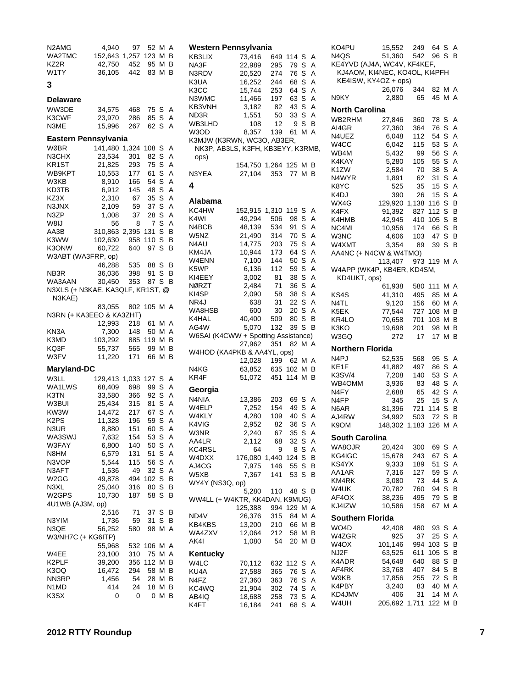| N <sub>2</sub> AM <sub>G</sub><br>WA2TMC<br>KZ2R | 4,940<br>152,643 1,257<br>42,750 | 97<br>452    | 52 M<br>123<br>95 | М<br>М         | Α<br>В<br>в |
|--------------------------------------------------|----------------------------------|--------------|-------------------|----------------|-------------|
| W1TY                                             | 36,105                           | 442          | 83                | M <sub>B</sub> |             |
| 3                                                |                                  |              |                   |                |             |
| <b>Delaware</b>                                  |                                  |              |                   |                |             |
| WW3DE<br>K3CWF                                   | 34,575<br>23,970                 | 468<br>286   | 75 S<br>85 S      |                | A<br>Α      |
| N3ME                                             | 15,996                           | 267          | 62                | S              | A           |
| Eastern Pennsylvania                             |                                  |              |                   |                |             |
| WØBR                                             | 141,480                          | 1,324        | 108               | S              | Α           |
| N3CHX                                            | 23,534                           | 301          | 82                | S              | Α<br>Α      |
| KR1ST<br>WB9KPT                                  | 21,825<br>10,553                 | 293<br>177   | 75<br>61          | S<br>S         | A           |
| W3KB                                             | 8,910                            | 166          | 54                | S              | Α           |
| KD3TB                                            | 6,912                            | 145          | 48                | S              | A           |
| KZ3X<br>N3JNX                                    | 2,310<br>2,109                   | 67<br>59     | 35<br>37          | S<br>S         | A<br>Α      |
| N3ZP                                             | 1,008                            | 37           | 28                | S              | A           |
| W8IJ                                             | 56                               | 8            | 7                 | S              | A           |
| AA3B<br>K3WW                                     | 310,863                          | 2,395<br>958 | 131<br>110        | S<br>S         | В<br>B      |
| K3ONW                                            | 102,630<br>60,722                | 640          | 97                | S              | В           |
| W3ABT (WA3FRP, op)                               |                                  |              |                   |                |             |
|                                                  | 46,288                           | 535          | 88 S              |                | В           |
| NB <sub>3</sub> R<br>WA3AAN                      | 36,036<br>30,450                 | 398<br>353   | 91<br>87          | S<br>S         | В<br>В      |
| N3XLS (+ N3KAE, KA3QLF, KR1ST, @                 |                                  |              |                   |                |             |
| N3KAE)                                           |                                  |              |                   |                |             |
|                                                  | 83,055                           | 802 105 M A  |                   |                |             |
| N3RN (+ KA3EEO & KA3ZHT)                         | 12,993                           | 218          | 61                | МA             |             |
| KN3A                                             | 7,300                            | 148          | 50                | M              | Α           |
| K3MD                                             | 103,292                          | 885          | 119               | м              | В           |
| KQ3F<br>W3FV                                     | 55,737<br>11,220                 | 565<br>171   | 99<br>66          | М<br>М         | в<br>в      |
| Maryland-DC                                      |                                  |              |                   |                |             |
| W3LL                                             | 129,413                          | 1,033        | 127               | S              | Α           |
| WA1LWS                                           | 68,409                           | 698          | 99                | S              | A           |
| K3TN                                             | 33,580                           | 366          | 92                | S              | Α           |
| W3BUI<br>KW3W                                    | 25,434<br>14,472                 | 315<br>217   | 81<br>67          | S<br>S         | A<br>A      |
| K <sub>2</sub> P <sub>S</sub>                    | 11,328                           | 196          | 59                | S              | Α           |
| N3UR                                             | 8,880                            | 151          | 60                | S              | A           |
| WA3SWJ                                           | 7,632                            | 154          | 53                | S              | Α           |
| W3FAY<br>N8HM                                    | 6,800<br>6,579                   | 140<br>131   | 50<br>51          | S<br>S         | Α<br>Α      |
| N3VOP                                            | 5,544                            | 115          | 56                | S              | Α           |
| N3AFT                                            | 1,536                            | 49           | 32                | S              | Α           |
| W2GG<br>N3XL                                     | 49,878<br>25,040                 | 494          | 102<br>80         | S<br>S         | В<br>В      |
| W2GPS                                            | 10,730                           | 316<br>187   | 58                | S              | В           |
| 4U1WB (AJ3M, op)                                 |                                  |              |                   |                |             |
|                                                  | 2,516                            | 71           | 37                | S              | В           |
| N3YIM<br>N3QE                                    | 1,736<br>56,252                  | 59<br>580    | 31<br>98          | S<br>М         | В<br>A      |
| W3/NH7C (+ KG6ITP)                               |                                  |              |                   |                |             |
|                                                  | 55,968                           | 532          | 106               | Μ              | Α           |
| W4EE                                             | 23,100                           | 310          | 75                | Μ              | Α           |
| K2PLF<br>K3OQ                                    | 39,200<br>16,472                 | 356<br>294   | 112<br>58         | Μ<br>Μ         | В<br>В      |
| NN3RP                                            | 1,456                            | 54           | 28                | Μ              | В           |
| N1MD                                             | 414                              | 24           | 18                | Μ              | В           |
| K3SX                                             | 0                                | 0            | 0                 | Μ              | в           |

| Western Pennsylvania                                            |                                 |                  |            |     |                |
|-----------------------------------------------------------------|---------------------------------|------------------|------------|-----|----------------|
| KB3LIX                                                          | 73,416                          | 649              | 114        | S   | A              |
| NA3F                                                            | 22,989                          | 295              | 79         | S   | A              |
| N3RDV                                                           | 20,520                          | 274 76<br>244 68 |            | S A |                |
| K3UA                                                            | 16,252                          |                  |            | S A |                |
| КЗСС                                                            | 15,744                          | 253 64           |            | S A |                |
| N3WMC                                                           | 11,466                          | 197              | 63         | S A |                |
| KB3VNH                                                          | 3,182                           | 82               | 43         | S   | Α              |
| ND3R                                                            | 1,551                           | 50               | 33         | S   | A              |
| WB3LHD                                                          | 108                             | 12               | 9          | s   | B              |
| W3OD                                                            | 8,357                           | 139              | 61 M A     |     |                |
| K3MJW (K3RWN, WC3O, AB3ER,<br>NK3P, AB3LS, K3FH, KB3EYY, K3RMB, |                                 |                  |            |     |                |
| ops)                                                            |                                 |                  |            |     |                |
| N3YEA                                                           | 154,750 1,264 125 M B<br>27,104 | - 353            | 77 M B     |     |                |
| 4                                                               |                                 |                  |            |     |                |
|                                                                 |                                 |                  |            |     |                |
| Alabama                                                         |                                 |                  |            |     |                |
| KC4HW                                                           | 152,915                         | 1,310            | 119        | S   | A              |
| K4WI                                                            | 49.294                          | 506              | 98         | S   | A              |
| N4BCB l                                                         | 48,139                          | 534              | 91         | S A |                |
| W5NZ                                                            | 21,490                          | $rac{1}{314}$    | 70         | S A |                |
| N4AU                                                            | 14,775                          | 203              | 75         | S A |                |
| KM4JA                                                           | 10,944                          | 173              | 64         | S A |                |
| W4ENN                                                           | 7,100                           | 144              | 50         | S   | A              |
| K5WP                                                            | 6,136                           | 112              | 59         | S A |                |
| KI4EEY                                                          | 3,002                           | 81               | 38         | S A |                |
|                                                                 |                                 |                  |            |     | A              |
| NØRZT                                                           | 2,484                           | 71               | 36         | S   |                |
| KI4SP                                                           | 2,090                           | 58               | 38         | S A |                |
| NR4J                                                            | 638                             | 31               | 22         | S   | A              |
| WA8HSB                                                          | 600                             | 30               | 20         | S   | Α              |
| K4HAL                                                           | 40,400                          | 509              | 80         | S   | B              |
| AG4W                                                            | 5,070                           | 132              | 39         | S   | B              |
| W6SAI (K4CWW + Spotting Assistance)                             |                                 |                  |            |     |                |
|                                                                 | 27,962                          | 351              | 82         | МA  |                |
| W4HOD (KA4PKB & AA4YL, ops)                                     |                                 |                  |            |     |                |
|                                                                 | 12,028                          | 199 62           |            | M A |                |
| N4KG                                                            | 63,852                          | 635              | 102 M B    |     |                |
| KR4F                                                            | 51,072                          | 451 114 M B      |            |     |                |
| Georgia                                                         |                                 |                  |            |     |                |
| N4NIA                                                           | 13,386                          | 203              | 69 S A     |     |                |
| W4ELP                                                           | 7,252                           | 154              | 49         | S A |                |
| W4KLY                                                           | 4,280                           |                  |            | S   | Α              |
|                                                                 |                                 | 109              | 40         |     |                |
| K4VIG                                                           | 2,952                           | 82               | 36         | S   | A              |
| W3NR                                                            | 2,240                           | 67               | 35 S A     |     |                |
| AA4LR                                                           | 2,112                           | 68               | 32         | SA  |                |
| KC4RSL                                                          | 64                              | 9                | 8          | S   | $\overline{A}$ |
| W4DXX                                                           | 176,080 1,440                   |                  | 124        | S   | B              |
| AJ4CG                                                           | 7,975                           | 146              | 55 S B     |     |                |
| W5XB                                                            | 7,367                           | 141              | 53 S       |     | В              |
| WY4Y (NS3Q, op)                                                 |                                 |                  |            |     |                |
|                                                                 | 5,280                           |                  | 110 48 S B |     |                |
| WW4LL (+ W4KTR, KK4DAN, K9MUG)                                  |                                 |                  |            |     |                |
|                                                                 | 125,388                         | 994 129          |            | МA  |                |
| ND4V                                                            | 26,376                          | 315              | 84 M A     |     |                |
| KB4KBS                                                          | 13,200                          | 210              | 66 M B     |     |                |
| WA4ZXV                                                          | 12,064                          | 212              | 58 M B     |     |                |
| AK4I                                                            | 1,080                           | 54               | 20 M B     |     |                |
| Kentucky                                                        |                                 |                  |            |     |                |
| W4LC                                                            |                                 |                  |            |     |                |
|                                                                 | 70,112                          | 632 112 S A      |            |     |                |
| KU4A                                                            | 27,588                          | 365              | 76         | S A |                |
| N4FZ                                                            | 27,360                          | 363              | 76         | S   | A              |
| KC4WQ                                                           | 21,904                          | 302              | 74         | S A |                |
| AB4IQ                                                           | 18,688                          | 258              | 73 S A     |     |                |
| K4FT                                                            | 16,184                          | 241              | 68 S A     |     |                |

| KO4PU                                                        | 15,552          | 249   | 64 S        |     | Α              |
|--------------------------------------------------------------|-----------------|-------|-------------|-----|----------------|
| N4QS                                                         | 51,360 542 96 S |       |             |     | в              |
| KE4YVD (AJ4A, WC4V, KF4KEF,<br>KJ4AOM, KI4NEC, KO4OL, KI4PFH |                 |       |             |     |                |
| KE4ISW, KY4OZ + ops)                                         |                 |       |             |     |                |
|                                                              | 26,076          | 344   | 82 M A      |     |                |
| N9KY                                                         | 2,880           | 65    | 45          | МA  |                |
|                                                              |                 |       |             |     |                |
| <b>North Carolina</b>                                        |                 |       |             |     |                |
| WB2RHM                                                       | 27,846          | 360   | 78          | S   | Α              |
| AI4GR                                                        | 27,360          | 364   | 76          | S   | A              |
| N4UEZ                                                        | 6,048           | 112   | 54          | S   | Α              |
| W <sub>4</sub> CC                                            | 6,042           | 115   | 53          | S   | A              |
| WB4M                                                         | 5,432           | 99    | 56          | S   | A              |
| K4KAY                                                        | 5,280           | 105   | 55          | S   | A              |
| K <sub>1</sub> ZW                                            | 2,584           | 70    | 38          | S   | A              |
| N4WYR                                                        | 1,891           | 62    | 31          | S   | A              |
| K8YC                                                         | 525             | 35    | 15          | S   | A              |
| K4DJ                                                         | 390             | 26    | 15          | S   | A              |
| WX4G                                                         | 129,920         | 1,138 | 116         | S   | В              |
| K4FX                                                         | 91,392          | 827   | 112         | S   | B              |
| K4HMB                                                        | 42,945          | 410   | 105         | S   | В              |
| NC4MI                                                        | 10,956          | 174   | 66          | S   | в              |
| W3NC                                                         | 4,606           | 103   | 47          | S   | B              |
| W4XMT                                                        | 3,354           | 89    | 39          | S   | В              |
| AA4NC (+ N4CW & W4TMO)                                       |                 |       |             |     |                |
|                                                              | 113,407         |       | 973 119 M A |     |                |
| W4APP (WK4P, KB4ER, KD4SM,                                   |                 |       |             |     |                |
| KD4UKT, ops)                                                 |                 |       |             |     |                |
|                                                              | 61,938          | 580   | 111         | МA  |                |
| KS4S                                                         | 41,310          | 495   | 85          | M   | A              |
| N4TL                                                         | 9,120           | 156   | 60          | М   | Α              |
| K5EK                                                         | 77,544          | 727   | 108         | M   | в              |
| KR4LO                                                        | 70,658          | 701   | 103         | М   | В              |
| K3KO                                                         | 19,698          | 201   | 98          | Μ   | В              |
| W3GQ                                                         | 272             | 17    | 17          | М   | B              |
|                                                              |                 |       |             |     |                |
| <b>Northern Florida</b>                                      |                 |       |             |     |                |
| N4PJ                                                         | 52,535          | 568   | 95          | S   | Α              |
| KE1F                                                         | 41,882          | 497   | 86          | S   | A              |
| <b>K3SV/4</b>                                                | 7,208           | 140   | 53          | S   | A              |
| WB4OMM                                                       | 3,936           | 83    | 48          | S A |                |
| N4FY                                                         | 2,688           | 65    | 42          | S   | $\overline{A}$ |
| N4FP                                                         | 345             | 25    | 15          | S   | Α              |
| N6AR                                                         | 81,396          | 721   | 114 S       |     | В              |
| AJ4RW                                                        | 34,992          | 503   | 72          | S   | В              |
| K9OM                                                         | 148,302         | 1,183 | 126         | М   | A              |
| South Carolina                                               |                 |       |             |     |                |
| WA8OJR                                                       | 20,424          | 300   | 69          | S   | Α              |
| KG4IGC                                                       | 15,678          | 243   | 67          | S   | A              |
| KS4YX                                                        | 9,333           | 189   | 51          | S   | Α              |
| AA1AR                                                        | 7,316           | 127   | 59          | S   | Α              |
| KM4RK                                                        | 3,080           | 73    | 44          | S   | Α              |
| W4UK                                                         | 70,782          | 760   | 94          | S   | В              |
| AF4OX                                                        | 38,236          | 495   | 79          | S   | В              |
| KJ4IZW                                                       | 10,586          | 158   | 67          | М   | Α              |
|                                                              |                 |       |             |     |                |
| <b>Southern Florida</b>                                      |                 |       |             |     |                |
| WO <sub>4</sub> D                                            | 42,408          | 480   | 93          | S   | Α              |
| W4ZGR                                                        | 925             | 37    | 25          | S   | A              |
| W4OX                                                         | 101,146         | 994   | 103         | S   | В              |
| NJ2F                                                         | 63,525          | 611   | 105         | S   | в              |
| K4ADR                                                        | 54,648          | 640   | 88          | S   | В              |
| AF4RK                                                        | 33,768          | 407   | 84          | S   | В              |
| W9KB                                                         | 17,856          | 255   | 72          | S   | В              |
| K4PBY                                                        | 3,240           | 83    | 40          | М   | A              |
| KD4JMV                                                       | 406             | 31    | 14          | М   | Α              |
| W4UH                                                         | 205,692         | 1,711 | 122         | М   | В              |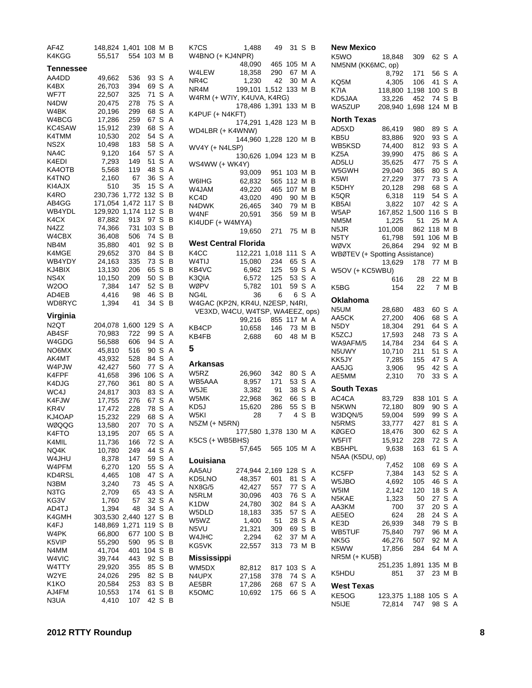| AF4Z         | 148,824 1,401  |           | 108 M B  |                  | K7CS          |
|--------------|----------------|-----------|----------|------------------|---------------|
| K4KGG        | 55,517         | 554       | 103      | Μ<br>в           | W4BNC         |
| Tennessee    |                |           |          |                  | W4LEW         |
| AA4DD        | 49,662         | 536       | 93       | S<br>Α           | NR4C          |
| K4BX         | 26,703         | 394       | 69       | S<br>Α           | NR4M          |
| WF7T         | 22,507         | 325       | 71       | S<br>Α           | W4RM          |
| N4DW         | 20,475         | 278       | 75       | S<br>Α           |               |
| W4BK         | 20,196         | 299       | 68       | Α<br>S           | K4PUF         |
| W4BCG        | 17,286         | 259       | 67       | S<br>Α           |               |
| KC4SAW       | 15,912         | 239       | 68       | S<br>Α           | WD4LB         |
| K4TMM        | 10,530         | 202       | 54       | S<br>Α           |               |
| NS2X         | 10,498         | 183       | 58       | Α<br>S           | WV4Y (        |
| NA4C         | 9,120          | 164       | 57       | Α<br>S           |               |
| K4EDI        | 7,293          | 149       | 51       | Α<br>S           | WS4W\         |
| KA4OTB       | 5,568          | 119       | 48       | S<br>Α           |               |
| K4TNO        | 2,160          | 67        | 36       | S<br>Α           | W6IHG         |
| KI4AJX       | 510            | 35        | 15       | S<br>Α           | W4JAM         |
| K4RO         | 230,736        | 1,772     | 132      | S<br>В           | KC4D          |
| AB4GG        | 171,054        | 1,472     | 117      | S<br>В           | N4DWk         |
| WB4YDL       | 129,920        | 1,174     | 112      | S<br>В           | W4NF          |
| K4CX         | 87,882         | 913       | 97       | S<br>В           | KI4UDF        |
| N4ZZ         | 74,366         | 731       | 103      | В<br>S           |               |
| W4CBX        | 36,408         | 506       | 74       | В<br>S           | West (        |
| NB4M         | 35,880         | 401       | 92       | S<br>В           |               |
| K4MGE        | 29,652         | 370       | 84       | S<br>в           | K4CC          |
| WB4YDY       | 24,163         | 335       | 73       | S<br>В           | W4TIJ         |
| KJ4BIX       | 13,130         | 206       | 65       | В<br>S           | KB4VC         |
| NS4X         | 10,150         | 209       | 50       | S<br>в           | K3QIA         |
| W2OO         | 7,384          | 147       | 52       | S<br>В           | WØPV          |
| AD4EB        | 4,416          | 98        | 46       | S<br>в<br>S<br>В | NG4L          |
| WD8RYC       | 1,394          | 41        | 34       |                  | W4GAC<br>VE3X |
| Virginia     |                |           |          |                  |               |
| N2QT         | 204,078        | 1,600 129 |          | S<br>Α           | KB4CP         |
| AB4SF        | 70,983         | 722       | 99       | S<br>Α           | KB4FB         |
| W4GDG        | 56,588         | 606       | 94       | Α<br>S           |               |
| NO6MX        | 45,810         | 516       | 90       | S<br>Α           | 5             |
| AK4MT        | 43,932         | 528       | 84       | Α<br>S           |               |
| W4PJW        | 42,427         | 560       | 77       | S<br>Α           | Arkan:        |
| K4FPF        | 41,658         | 396       | 106      | S<br>Α           | W5RZ          |
| K4DJG        | 27,760         | 361       | 80       | Α<br>S           | WB5AA         |
| WC4J         | 24,817         | 303       | 83       | S<br>Α           | W5JE          |
| K4FJW        | 17,755         | 276       | 67       | Α<br>S           | W5MK          |
| KR4V         | 17,472         | 228       | 78       | S<br>А           | KD5J<br>W5KI  |
| KJ4OAP       | 15,232         | 229       | 68       | S<br>Α           | N5ZM (        |
| WØQQG        | 13,580         | 207       | 70       | S<br>А           |               |
| K4FTO        | 13,195         | 207       | 65       | S<br>Α           | <b>K5CS (</b> |
| K4MIL        | 11,736         | 166       | 72       | S<br>Α           |               |
| NQ4K         | 10,780         | 249       | 44       | S<br>Α           |               |
| W4JHU        | 8,378          | 147       | 59       | S<br>Α           | Louisi        |
| W4PFM        | 6,270          | 120       | 55       | Α<br>S           | AA5AU         |
| KD4RSL       | 4,465          | 108       | 47       | S<br>Α           | KD5LN         |
| N3BM<br>N3TG | 3,240          | 73<br>65  | 45<br>43 | Α<br>S<br>S<br>Α | NX8G/5        |
| KG3V         | 2,709          | 57        | 32       | S<br>Α           | N5RLM         |
| AD4TJ        | 1,760<br>1,394 | 48        | 34       | Α<br>S           | K1DW          |
| K4GMH        | 303,530        | 2,440     | 127      | S<br>В           | W5DLD         |
| K4FJ         | 148,869        | 1,271     | 119      | S<br>В           | W5WZ          |
| W4PK         | 66,800         | 677       | 100      | S<br>В           | N5VU          |
| K5VIP        | 55,290         | 590       | 95       | S<br>В           | W4JHC         |
| N4MM         | 41,704         | 401       | 104      | S<br>В           | KG5VK         |
| W4VIC        | 39,744         | 443       | 92       | S<br>В           | Missis        |
| W4TTY        | 29,920         | 355       | 85       | S<br>В           | WM5D)         |
| W2YE         | 24,026         | 295       | 82       | S<br>В           | N4UPX         |
| K1KO         | 20,584         | 253       | 83       | S<br>В           | AE5BR         |
| AJ4FM        | 10,553         | 174       | 61       | S<br>В           | K5OMC         |
| N3UA         | 4,410          | 107       | 42       | S<br>В           |               |
|              |                |           |          |                  |               |

| K7CS                             | 1.488                 | 49             | 31 S B      |                |   |
|----------------------------------|-----------------------|----------------|-------------|----------------|---|
| W4BNO (+ KJ4NPR)                 |                       |                |             |                |   |
|                                  | 48,090                | 465            | 105         | МA             |   |
| W4LEW                            | 18,358                | 290            | 67 M A      |                |   |
|                                  |                       |                |             | МA             |   |
| NR4C                             | 1,230                 | 42             | 30          |                |   |
| NR4M                             | 199,101 1,512 133     |                |             | ΜВ             |   |
| W4RM (+ W7IY, K4UVA, K4RG)       |                       |                |             |                |   |
|                                  | 178,486 1,391 133     |                |             | ΜВ             |   |
| K4PUF (+ N4KFT)                  |                       |                |             |                |   |
|                                  | 174,291               | 1,428 123      |             | ΜВ             |   |
| WD4LBR (+ K4WNW)                 |                       |                |             |                |   |
|                                  | 144,960 1,228 120     |                |             | ΜВ             |   |
| WV4Y (+ N4LSP)                   |                       |                |             |                |   |
|                                  |                       |                |             |                |   |
|                                  | 130,626 1,094 123     |                |             | ΜВ             |   |
| WS4WW (+ WK4Y)                   |                       |                |             |                |   |
|                                  | 93,009                | 951            | 103 M       |                | В |
| W6IHG                            | 62,832                | 565            | 112         | М              | в |
| W4JAM                            | 49,220                | 465            | 107 M B     |                |   |
| KC4D                             | 43,020                | 490            | 90          | M <sub>B</sub> |   |
| N4DWK                            | 26,465                | 340            | 79          | ΜВ             |   |
| W4NF                             | 20,591                | 356            | 59          | м              | в |
|                                  |                       |                |             |                |   |
| KI4UDF (+ W4MYA)                 |                       |                |             |                |   |
|                                  | 19,650                | 271            | 75 M B      |                |   |
| West Central Florida             |                       |                |             |                |   |
| K4CC                             | 112,221 1,018 111 S   |                |             |                | Α |
|                                  |                       |                |             |                |   |
| W4TIJ                            | 15,080                | 234            | 65          | S A            |   |
| KB4VC                            | 6,962                 | 125            | 59          | S              | A |
| K3QIA                            | 6,572                 | 125            | 53 S A      |                |   |
| WØPV                             | 5,782                 | 101            | 59 S        |                | A |
| NG4L                             | 36                    | 6              | 6           | S              | A |
| W4GAC (KP2N, KR4U, N2ESP, N4RI,  |                       |                |             |                |   |
| VE3XD, W4CU, W4TSP, WA4EEZ, ops) |                       |                |             |                |   |
|                                  |                       |                |             |                |   |
|                                  |                       |                |             |                |   |
|                                  | 99,216 855 117 M      |                |             |                | A |
| KB4CP                            | 10,658                | 146            | 73          | М              | в |
| KB4FB                            | 2,688                 | 60             | 48          | ΜВ             |   |
| 5                                |                       |                |             |                |   |
|                                  |                       |                |             |                |   |
| Arkansas                         |                       |                |             |                |   |
|                                  |                       |                |             |                |   |
| W5RZ                             | 26,960                | 342            | 80 S        |                | Α |
| WB5AAA                           | 8,957                 | 171            | 53          | S              | A |
| W5JE                             | 3,382                 | 91             | 38 S        |                | A |
| W5MK                             | 22,968                | 362            | 66 S B      |                |   |
| KD5J                             | 15,620                | 286            | 55          | S.             | в |
| W5KI                             | 28                    | $\overline{7}$ | 4 S         |                | в |
| N5ZM (+ N5RN)                    |                       |                |             |                |   |
|                                  |                       |                |             |                |   |
|                                  | 177,580 1,378 130 M A |                |             |                |   |
| K5CS (+ WB5BHS)                  | 57,645                |                | 565 105 M A |                |   |
|                                  |                       |                |             |                |   |
| Louisiana                        |                       |                |             |                |   |
| AA5AU                            | 274,944 2,169         |                | 128         | S              | Α |
|                                  |                       | 601            | 81          | S              | A |
| KD5LNO                           | 48,357                |                |             |                |   |
| NX8G/5                           | 42,427                | 557            | 77          | S A            |   |
| N5RLM                            | 30,096                | 403            | 76          | S A            |   |
| K1DW                             | 24,780                | 302            | 84          | S A            |   |
| W5DLD                            | 18,183                | 335            | 57 S A      |                |   |
| W5WZ                             | 1,400                 | 51             | 28          | S A            |   |
| N5VU                             | 21,321                | 309            | 69          | S B            |   |
| W4JHC                            | 2,294                 | 62             | 37          | м              | A |
| KG5VK                            | 22,557                | 313            | 73          | MВ             |   |
|                                  |                       |                |             |                |   |
| Mississippi                      |                       |                |             |                |   |
| WM5DX                            | 82,812                | 817            | 103         | S              | Α |
| N4UPX                            | 27,158                | 378            | 74          | S              | Α |
| AE5BR                            |                       | 268            | 67          | S.             | A |
| K5OMC                            | 17,286<br>10,692      | 175            | 66          | s              | A |

| New Mexico                     |                     |       |              |    |                |
|--------------------------------|---------------------|-------|--------------|----|----------------|
| K5WO                           | 18,848              | 309   | 62 S         |    | Α              |
| NM5NM (KK6MC, op)              |                     |       |              |    |                |
|                                | 8,792               | 171   | 56           | S  | Α              |
| KQ5M                           | 4,305               | 106   | 41 S         |    | Α              |
| K7IA                           | 118,800             | 1,198 | 100          | S  | В              |
| KD5JAA                         | 33,226              | 452   | 74           | S  | В              |
| WA5ZUP                         | 208,940             | 1,698 | 124          | М  | В              |
| <b>North Texas</b>             |                     |       |              |    |                |
|                                |                     |       |              |    |                |
| AD5XD                          | 86,419              | 980   | 89           | S  | Α              |
| KB5U                           | 83,886              | 920   | 93           | S  | Α              |
| WB5KSD                         | 74,400              | 812   | 93           | S  | Α              |
| KZ5A                           | 39,990              | 475   | 86           | S  | A              |
| AD5LU                          | 35,625              | 477   | 75           | S  | Α              |
| W5GWH                          | 29,040              | 365   | 80           | S  | A              |
| K5WI                           | 27,229              | 377   | 73           | S  | Α              |
| K5DHY                          | 20,128              | 298   | 68           | S  | Α              |
| K5QR                           | 6,318               | 119   | 54           | S  | A              |
| KB5AI                          | 3,822               | 107   | 42           | S  | A              |
| W5AP                           | 167,852             | 1,500 | 116          | S  | В              |
| NM5M                           | 1,225               | 51    | 25           | Μ  | Α              |
| N <sub>5</sub> JR              | 101,008             | 862   | 118          | Μ  | в              |
| N5TY                           | 61,798              | 591   | 106          | М  | В              |
| WØVX                           | 26,864              | 294   | 92           | М  | В              |
| WBØTEV (+ Spotting Assistance) |                     |       |              |    |                |
|                                | 13,629              | 178   | 77           | М  | В              |
| W5OV (+ KC5WBU)                |                     |       |              |    |                |
|                                | 616                 | 28    | 22           | M  | В              |
| K5BG                           | 154                 | 22    | $\mathbf{7}$ | М  | в              |
| Oklahoma                       |                     |       |              |    |                |
| N5UM                           | 28,680              | 483   | 60           | S  | Α              |
| AA5CK                          | 27,200              | 406   | 68           | S  | A              |
| N5DY                           | 18,304              | 291   | 64           | S  | A              |
| K5ZCJ                          | 17,593              | 248   | 73           | S  | Α              |
| WA9AFM/5                       | 14,784              | 234   | 64           | S  | Α              |
| N5UWY                          | 10,710              | 211   | 51           | S  | A              |
| KK5JY                          | 7,285               | 155   | 47           | S  | A              |
| AA5JG                          | 3,906               | 95    | 42           | S  | Α              |
| AE5MM                          | 2,310               | 70    | 33           | S  | А              |
|                                |                     |       |              |    |                |
| South Texas                    |                     |       |              |    |                |
| AC4CA                          | 83,729              | 838   | 101          | S  | Α              |
| N5KWN                          | 72,180              | 809   | 90           | S  | Α              |
| W3DQN/5                        | 59,004              | 599   | 99           | S  | A              |
| N5RMS                          | 33,777              | 427   | 81           | S  | Α              |
| KØGEO                          | 18,476              | 300   | 62           | S  | Α              |
| W5FIT                          | 15,912              | 228   | 72           | S  | Α              |
| KB5HPL                         | 9,638               | 163   | 61           | S  | Α              |
| N5AA (K5DU, op)                |                     |       |              |    |                |
|                                | 7,452               | 108   | 69           | S  | Α              |
| KC5FP                          | 7,384               | 143   | 52 S         |    | $\overline{A}$ |
| W5JBO                          | 4,692               | 105   | 46           | S  | $\overline{A}$ |
| W5IM                           | 2,142               | 120   | 18           | S  | A              |
| N5KAE                          | 1,323               | 50    | 27 S A       |    |                |
| AA3KM                          | 700                 | 37    | 20           | S  | Α              |
| AE5EO                          | 624                 | 28    | 24 S         |    | A              |
| KE3D                           | 26,939              | 348   | 79           | S  | В              |
| WB5TUF                         | 75,840              | 797   | 96           | МA |                |
| NK5G                           | 46,276              | 507   | 92 M A       |    |                |
| K5WW                           | 17,856              | 284   | 64           | М  | Α              |
| <b>NR5M (+ KU5B)</b>           |                     |       |              |    |                |
|                                | 251,235 1,891 135 M |       |              |    | в              |
| K5HDU                          | 851                 | 37    | 23           | ΜВ |                |
| <b>West Texas</b>              |                     |       |              |    |                |
| KE5OG                          | 123,375 1,188 105   |       |              | S  | Α              |
| N5IJE                          | 72,814              | 747   | 98           | S  | Α              |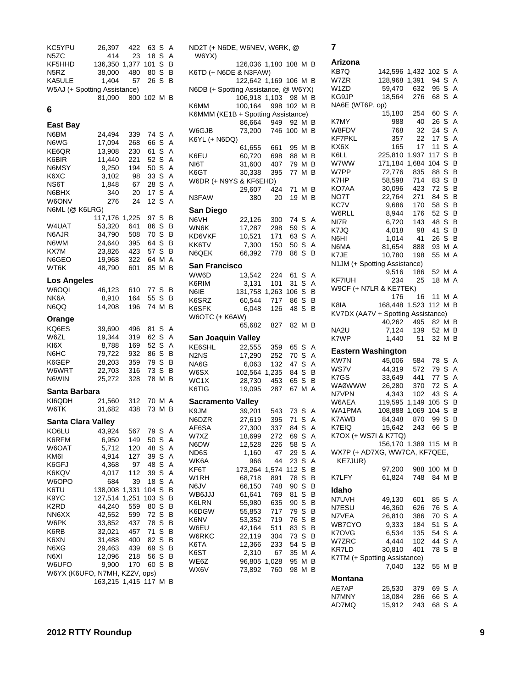| KC5YPU                        | 26,397            | 422   | 63          | S   | Α | NĽ        |
|-------------------------------|-------------------|-------|-------------|-----|---|-----------|
| N5ZC                          | 414               | 23    | 18          | S   | A | ١         |
| KF5HHD                        | 136,350 1,377 101 |       |             | S   | B |           |
| N5RZ                          | 38,000            | 480   | 80          | S   | В | KE        |
| KA5ULE                        | 1,404             | 57    | 26          | S   | B |           |
| W5AJ (+ Spotting Assistance)  |                   |       |             |     |   | NΘ        |
|                               | 81,090            |       | 800 102 M B |     |   |           |
|                               |                   |       |             |     |   | KE        |
| 6                             |                   |       |             |     |   | KΘ        |
|                               |                   |       |             |     |   |           |
| East Bay                      |                   |       |             |     |   | W         |
| N6BM                          | 24,494            | 339   | 74 S        |     | Α | KE        |
| N6WG                          | 17,094            | 268   | 66          | S   | Α |           |
| KE6QR                         | 13,908            | 230   | 61          | S   | Α | KΘ        |
| K6BIR                         | 11,440            | 221   | 52          | S   | A | NI        |
| N6MSY                         | 9,250             | 194   | 50          | S   | A | KE        |
| K6XC                          | 3,102             | 98    | 33          | S   | A | W         |
| NS6T                          | 1,848             | 67    | 28          | S   | A |           |
| N6BHX                         | 340               | 20    | 17          | S   | Α |           |
| W6ONV                         | 276               | 24    | 12          | S   | Α | N3        |
| N6ML (@ K6LRG)                |                   |       |             |     |   | Sε        |
|                               | 117,176           | 1,225 | 97 S        |     | в | NΘ        |
| W4UAT                         | 53,320            | 641   | 86          | S B |   | WI        |
| N6AJR                         | 34,790            | 508   | 70 S        |     | В | KΓ        |
| N6WM                          | 24,640            | 395   | 64          | S B |   | K۲        |
| KX7M                          | 23,826            | 423   | 57          | S   | В | NΘ        |
| N6GEO                         | 19,968            | 322   | 64          | М   | A |           |
| WT6K                          | 48,790            | 601   | 85          | ΜВ  |   | Sε        |
|                               |                   |       |             |     |   | W         |
| <b>Los Angeles</b>            |                   |       |             |     |   | KΘ        |
| W6OQI                         | 46,123            | 610   | 77 S        |     | В | NΘ        |
| NK6A                          | 8,910             | 164   | 55          | S   | В | KΘ        |
| N6QQ                          | 14,208            | 196   | 74          | MВ  |   | KΘ        |
|                               |                   |       |             |     |   | W         |
|                               |                   |       |             |     |   |           |
| Orange                        |                   |       |             |     |   |           |
| KQ6ES                         | 39,690            | 496   | 81          | S   | Α |           |
| W6ZL                          | 19,344            | 319   | 62          | S   | A | S.        |
| KI6X                          | 8,788             | 169   | 52          | S   | Α | ΚE        |
| N6HC                          | 79,722            | 932   | 86          | S   | в | N2        |
| K6GEP                         | 28,203            | 359   | 79          | S   | в | Nł        |
| W6WRT                         | 22,703            | 316   | 73          | S   | в | W١        |
| N6WIN                         | 25,272            | 328   | 78          | MВ  |   | W         |
|                               |                   |       |             |     |   | KE        |
| Santa Barbara                 |                   |       |             |     |   |           |
| KI6QDH                        | 21,560            | 312   | 70 M A      |     |   | Sε        |
| W6TK                          | 31,682            | 438   | 73          | MВ  |   | KS        |
| <b>Santa Clara Valley</b>     |                   |       |             |     |   | NΘ        |
| KO6LU                         |                   |       |             |     | Α | AF        |
|                               | 43,924            | 567   | 79          | S   |   | W         |
| K6RFM                         | 6,950             | 149   | 50          | S   | Α | N6        |
| W6OAT                         | 5,712             | 120   | 48          | S   | Α | <b>ND</b> |
| KM6I                          | 4,914             | 127   | 39          | S   | Α | WI        |
| K6GFJ                         | 4,368             | 97    | 48          | S   | Α | ΚF        |
| K6KQV                         | 4,017             | 112   | 39          | S   | Α | W         |
| W6OPO                         | 684               | 39    | 18          | S   | Α | N6        |
| K6TU                          | 138,008           | 1,331 | 104         | S   | В | W         |
| K9YC                          | 127,514           | 1,251 | 103         | S   | В | KE        |
| K2RD                          | 44,240            | 559   | 80          | S   | В | KΘ        |
| NN6XX                         | 42,552            | 599   | 72          | S   | В | KΘ        |
| W6PK                          | 33,852            | 437   | 78          | S   | В | W         |
| K6RB                          | 32,021            | 457   | 71          | S   | В | W         |
| K6XN                          | 31,488            | 400   | 82          | S   | В |           |
| N6XG                          | 29,463            | 439   | 69          | S   | В | KE        |
| N6XI                          | 12,096            | 218   | 56          | S   | В | KΘ        |
| W6UFO                         | 9,900             | 170   | 60          | S   | В | W         |
| W6YX (K6UFO, N7MH, KZ2V, ops) | 163,215           | 1,415 | 117         | ΜВ  |   | W.        |

| ND2T (+ N6DE, W6NEV, W6RK, @<br>W6YX) |                       |               |                  |   |   |
|---------------------------------------|-----------------------|---------------|------------------|---|---|
| K6TD (+ N6DE & N3FAW)                 | 126,036 1,180 108 M B |               |                  |   |   |
| N6DB (+ Spotting Assistance, @ W6YX)  | 122,642 1,169 106 M B |               |                  |   |   |
|                                       | 106,918 1,103 98 M B  |               |                  |   |   |
| K6MM                                  | 100,164               | 998 102 M B   |                  |   |   |
| K6MMM (KE1B + Spotting Assistance)    | 86,664 949 92 M B     |               |                  |   |   |
| W6GJB                                 | 73,200 746 100 M B    |               |                  |   |   |
| K6YL (+ N6DQ)                         |                       |               |                  |   |   |
|                                       | 61,655 661            |               | 95 M B           |   |   |
| K6EU                                  | 60,720                | 698           | 88 M B           |   |   |
| NI6T                                  | 31,600                | 407           | 79 M B           |   |   |
| K6GT                                  | 30,338                | 395           | 77 M B           |   |   |
| W6DR (+ N9YS & KF6EHD)                |                       |               |                  |   |   |
|                                       | 29,607                | 424           | 71 M B           |   |   |
| N3FAW                                 | 380                   | 20            | 19 M B           |   |   |
|                                       |                       |               |                  |   |   |
| San Diego                             |                       |               |                  |   |   |
| N6VH                                  | 22,126                | 300           | 74 S             |   | A |
| WN6K                                  | 17,287                | 298           | 59 S A           |   |   |
| KD6VKF                                | 10,521                | 171           | 63 S A           |   |   |
| KK6TV<br>N6QEK                        | 7,300                 | 150           | 50 S A<br>86 S B |   |   |
|                                       | 66,392                | 778           |                  |   |   |
| San Francisco                         |                       |               |                  |   |   |
| WW6D                                  | 13,542                | 224           | 61 S A           |   |   |
| K6RIM                                 | 3,131                 | 101           | 31 S A           |   |   |
| N6IE                                  | 131,758               | 1,263 106 S B |                  |   |   |
| K6SRZ                                 | 60,544                | 717           | 86 S B           |   |   |
| K6SFK                                 | 6,048                 | 126           | 48 S             |   | в |
| W6OTC (+ K6AW)                        |                       |               |                  |   |   |
|                                       | 65,682                | 827           | 82 M B           |   |   |
| San Joaquin Valley                    |                       |               |                  |   |   |
| KE6SHL                                | 22,555                | 359           | 65 S A           |   |   |
| N2NS                                  | 17,290                | 252           | 70 S A           |   |   |
| NA6G                                  | 6,063                 | 132           | 47 S A           |   |   |
| W6SX                                  | 102,564 1,235         |               | 84 S B           |   |   |
| WC1X                                  | 28,730                | 453           | 65 S B           |   |   |
| K6TIG                                 | 19,095                | 287           | 67 M A           |   |   |
| Sacramento Valley                     |                       |               |                  |   |   |
| K9JM                                  | 39,201                | 543           | 73 S A           |   |   |
| N6DZR                                 | 27,619                | 395           | 71 S A           |   |   |
| AF6SA                                 | 27,300                | 337           | 84 S A           |   |   |
| W7XZ                                  | 18,699                | 272           | 69               | S | Α |
| N6DW                                  | 12,528                | 226           | 58               | S | A |
| ND6S                                  | 1,160                 | 47            | 29               | S | A |
| WK6A                                  | 966                   | 44            | 23               | S | Α |
| KF6T                                  | 173,264               | 1,574         | 112              | S | B |
| W <sub>1</sub> RH                     | 68,718                | 891           | 78               | S | В |
| N6JV                                  | 66,150                | 748           | 90               | S | В |
| WB6JJJ                                | 61,641                | 769           | 81               | S | B |
| K6LRN                                 | 55,980                | 635           | 90               | S | В |
| K6DGW                                 | 55,853                | 717           | 79               | S | В |
| K6NV                                  | 53,352                | 719           | 76               | S | В |
| W6EU                                  | 42,164                | 511           | 83               | S | В |
| W6RKC                                 | 22,119                | 304           | 73               | S | В |
| K6TA                                  | 12,366                | 233           | 54               | S | В |
| K6ST                                  | 2,310                 | 67            | 35               | М | Α |
| WE6Z                                  | 96,805                | 1,028         | 95               | М | B |
| WX6V                                  | 73,892                | 760           | 98               | м | В |
|                                       |                       |               |                  |   |   |

# **7**

| Arizona                                  |                     |            |                |     |                |
|------------------------------------------|---------------------|------------|----------------|-----|----------------|
| KB7Q                                     | 142,596 1,432       |            | 102 S          |     | Α              |
| W7ZR                                     | 128,968 1,391       |            | 94 S           |     | $\overline{A}$ |
| W1ZD                                     | 59,470              | 632        | 95 S           |     | Α              |
| KG9JP                                    | 18,564 276          |            | 68 S           |     | Α              |
| NA6E (WT6P, op)                          |                     |            |                |     |                |
|                                          | 15,180              | 254        | 60 S           |     | A              |
| K7MY                                     | 988                 | 40         | 26 S           |     | Α              |
| W8FDV                                    | 768                 | 32         | 24 S           |     | A              |
| KF7PKL                                   | 357                 | 22         | 17 S           |     | Α              |
| KX6X                                     | 165                 | 17         | 11             | S   | $\overline{A}$ |
| K6LL                                     | 225,810             | 1,937      | 117 S          |     | B              |
| w7ww                                     | 171,184             | 1,684      | 104 S          |     | B              |
| W7PP                                     | 72,776              | 835        | 88             | S   | B              |
| K7HP                                     | 58,598              | 714        | 83 S           |     | в              |
| KO7AA                                    |                     | 423        | 72 S           |     | B              |
|                                          | 30,096              |            |                |     |                |
| NO7T                                     | 22,764              | 271        | 84 S           |     | B              |
| KC7V                                     | 9,686               | 170        | 58 S           |     | B              |
| W6RLL                                    | 8,944               | 176        | 52             | S   | B              |
| NI7R                                     | 6,720               | 143        | 48             | S   | в              |
| K7JQ                                     | 4,018               | 98         | 41 S           |     | в              |
| N6HI                                     | 1,014               | 41         | 26 S           |     | в              |
| N6MA                                     | 81,654 888          |            | 93 M A         |     |                |
| K7JE                                     | 10,780              | 198        | 55             | M   | A              |
| N1JM (+ Spotting Assistance)             |                     |            |                |     |                |
|                                          | 9,516               | 186        | 52 M A         |     |                |
| KF7IUH                                   | 234                 | 25         | 18 M A         |     |                |
| W9CF (+ N7LR & KE7TEK)                   |                     |            |                |     |                |
|                                          | 176                 | 16         | 11 M           |     | A              |
| K8IA                                     | 168,448 1,523       |            | 112 M          |     | В              |
| KV7DX (AA7V + Spotting Assistance)       |                     |            |                |     |                |
|                                          | 40,262 495 82 M     |            |                |     | В              |
| NA2U                                     |                     | 7,124 139  | 52 M B         |     |                |
| K7WP                                     | 1,440               | 51         | 32             | M B |                |
|                                          |                     |            |                |     |                |
| <b>Eastern Washington</b>                |                     |            |                |     |                |
| KW7N                                     | 45,006              | 584        | 78             | S   | Α              |
| WS7V                                     | 44,319              | 572        | 79             | S   | Α              |
| K7GS                                     | 33,649              | 441        | 77 S           |     | Α              |
| <b>WAØWWW</b>                            | 26,280              | 370        | 72             | S   | A              |
|                                          |                     |            |                |     | Α              |
| N7VPN                                    | 4,343               | 102        | 43 S           |     |                |
| W6AEA                                    | 119,595 1,149       |            | 105 S          |     | B              |
| WA1PMA                                   | 108,888             | 1,069      | 104 S          |     | B              |
| K7AWB                                    | 84,348              | 870        | 99 S           |     | В              |
| K7EIQ                                    | 15,642              | 243        | 66             | S   | В              |
|                                          |                     |            |                |     |                |
| K7OX (+ WS7I & K7TQ)                     |                     |            |                |     | в              |
|                                          | 156,170 1,389 115 M |            |                |     |                |
| WX7P (+ AD7XG, WW7CA, KF7QEE,<br>KE7JUR) |                     |            |                |     |                |
|                                          | 97,200              |            | 988 100 M B    |     |                |
| K7LFY                                    | 61,824              | 748        | 84 M B         |     |                |
|                                          |                     |            |                |     |                |
| Idaho                                    |                     |            |                |     |                |
| N7UVH                                    | 49,130              | 601        | 85 S           |     | Α              |
| N7ESU                                    | 46,360              | 626        | 76 S           |     | A              |
| N7VEA                                    | 26,810              | 386        | 70 S           |     | $\overline{A}$ |
| WB7CYO                                   | 9,333               | 184        | 51 S           |     | $\overline{A}$ |
| K7OVG                                    | 6,534               | 135        | 54 S           |     | $\overline{A}$ |
| W7ZRC                                    | 4,444               | 102        | 44 S           |     | Α              |
| KR7LD                                    | 30,810              | 401        | 78 S           |     | В              |
| K7TM (+ Spotting Assistance)             |                     |            |                |     |                |
|                                          | 7,040               | 132        | 55 M B         |     |                |
| Montana                                  |                     |            |                |     |                |
|                                          |                     |            |                |     |                |
|                                          | 25,530              | 379        | 69 S           |     | A              |
| AE7AP<br>N7MNY<br>AD7MQ                  | 18,084<br>15,912    | 286<br>243 | 66 S A<br>68 S |     | Α              |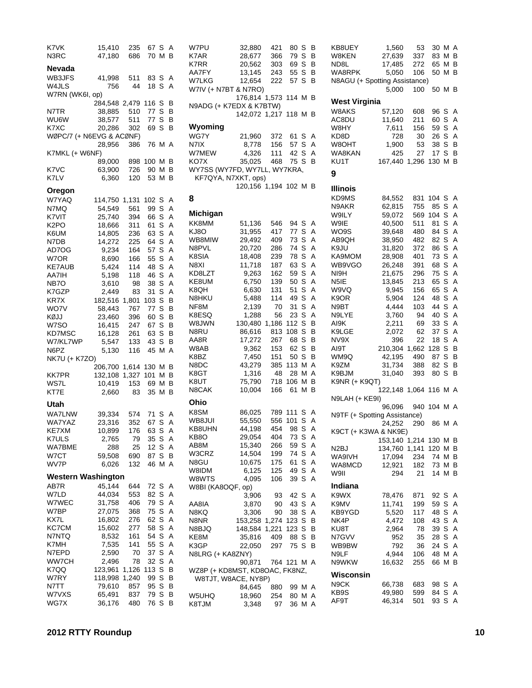| K7VK                      | 15,410              | 235   | 67 S    |     | A   | W7PU                  | 32,880              |
|---------------------------|---------------------|-------|---------|-----|-----|-----------------------|---------------------|
| N3RC                      | 47,180              | 686   | 70 M B  |     |     | K7AR                  | 28,677              |
|                           |                     |       |         |     |     | K7RR                  | 20,562              |
| Nevada                    |                     |       |         |     |     |                       |                     |
| WB3JFS                    | 41,998              | 511   | 83 S    |     | A   | AA7FY                 | 13,145              |
|                           |                     |       |         |     |     | W7LKG                 | 12,654              |
| W4JLS                     | 756                 | 44    | 18 S    |     | A   | W7IV (+ N7BT & N7RO)  |                     |
| W7RN (WK6I, op)           |                     |       |         |     |     |                       | 176,814 1,          |
|                           | 284,548 2,479 116 S |       |         |     | в   |                       |                     |
|                           |                     |       |         |     |     | N9ADG (+ K7EDX & K7B1 |                     |
| N7TR                      | 38,885              | 510   | 77      | S   | в   |                       | 142,072 1,          |
| WU6W                      | 38,577              | 511   | 77      | S   | в   |                       |                     |
| K7XC                      | 20,286              | 302   | 69      | S   | в   | Wyoming               |                     |
| WØPC/7 (+ N6EVG & ACØNF)  |                     |       |         |     |     | WG7Y                  | 21,960              |
|                           |                     |       |         |     |     |                       |                     |
|                           | 28,956              | 386   | 76 M A  |     |     | N7IX                  | 8,778               |
| K7MKL (+ W6NF)            |                     |       |         |     |     | W7MEW                 | 4,326               |
|                           | 89,000              | 898   | 100 M B |     |     | KO7X                  | 35,025              |
|                           |                     |       |         |     |     |                       |                     |
| K7VC                      | 63,900              | 726   | 90 M B  |     |     | WY7SS (WY7FD, WY7LL,  |                     |
| K7LV                      | 6,360               | 120   | 53 M B  |     |     |                       | KF7QYA, N7XKT, ops) |
|                           |                     |       |         |     |     |                       | 120,156 1,          |
| Oregon                    |                     |       |         |     |     |                       |                     |
| W7YAQ                     | 114,750 1,131       |       | 102 S   |     | Α   | 8                     |                     |
|                           |                     |       |         |     |     |                       |                     |
| N7MQ                      | 54,549              | 561   | 99      | S   | Α   | Michigan              |                     |
| K7VIT                     | 25,740              | 394   | 66      | S   | A   |                       |                     |
| K2PO                      | 18,666              | 311   | 61      | S   | Α   | KK8MM                 | 51,136              |
|                           |                     |       | 63 S    |     | Α   | KJ8O                  | 31,955              |
| K6UM                      | 14,805              | 236   |         |     |     |                       |                     |
| N7DB                      | 14,272              | 225   | 64      | S   | A   | WB8MIW                | 29,492              |
| AD7OG                     | 9,234               | 164   | 57      | S   | Α   | N8PVL                 | 20,720              |
| W7OR                      | 8,690               | 166   | 55      | S   | A   | K8SIA                 | 18,408              |
|                           |                     |       |         |     |     | N8XI                  | 11,718              |
| <b>KE7AUB</b>             | 5,424               | 114   | 48      | S   | Α   |                       |                     |
| AA7IH                     | 5,198               | 118   | 46      | S   | Α   | KD8LZT                | 9,263               |
| NB7O                      | 3,610               | 98    | 38      | S   | A   | KE8UM                 | 6,750               |
| K7GZP                     | 2,449               | 83    | 31      | S   | Α   | K8QH                  | 6,630               |
|                           |                     |       |         |     |     | N8HKU                 | 5,488               |
| KR7X                      | 182,516 1,801       |       | 103     | S   | в   |                       |                     |
| WO7V                      | 58,443              | 767   | 77      | S   | в   | NF8M                  | 2,139               |
| KØJJ                      | 23,460              | 396   | 60      | S   | В   | K8ESQ                 | 1,288               |
| W7SO                      |                     | 247   | 67      | S   | B   | W8JWN                 | 130,480 1,          |
|                           | 16,415              |       |         |     |     | N8RU                  | 86,616              |
| KD7MSC                    | 16,128              | 261   | 63      | S   | в   |                       |                     |
| W7/KL7WP                  | 5,547               | 133   | 43 S    |     | в   | AA8R                  | 17,272              |
| N6PZ                      | 5,130               | 116   | 45 M A  |     |     | W8AB                  | 9,362               |
| NK7U (+ K7ZO)             |                     |       |         |     |     | K8BZ                  | 7,450               |
|                           |                     |       |         |     |     |                       |                     |
|                           | 206,700             | 1,614 | 130 M B |     |     | N8DC                  | 43,279              |
| KK7PR                     | 132,108             | 1,327 | 101     |     | M B | K8GT                  | 1,316               |
| WS7L                      | 10,419              | 153   | 69      | M B |     | K8UT                  | 75,790              |
|                           |                     |       |         |     |     | N8CAK                 | 10,004              |
| KT7E                      | 2,660               | 83    | 35 M B  |     |     |                       |                     |
| Utah                      |                     |       |         |     |     | Ohio                  |                     |
|                           |                     |       |         |     |     |                       |                     |
| WA7LNW                    | 39,334              | 574   | 71      | S   | A   | K8SM                  | 86,025              |
| WA7YAZ                    | 23,316              | 352   | 67      | S   | Α   | WB8JUI                | 55,550              |
| KE7XM                     | 10,899              | 176   | 63      | -S  | A   | KB8UHN                | 44,198              |
|                           |                     |       |         |     |     | KB8O                  | 29,054              |
| K7ULS                     | 2,765               | 79    | 35 S    |     | A   |                       |                     |
| WA7BME                    | 288                 | 25    | 12      | S   | Α   | AB8M                  | 15,340              |
| W7CT                      | 59,508              | 690   | 87 S    |     | В   | W3CRZ                 | 14,504              |
|                           |                     |       |         |     |     | N8GU                  | 10,675              |
| WV7P                      | 6,026               | 132   | 46 M A  |     |     |                       |                     |
| <b>Western Washington</b> |                     |       |         |     |     | W8IDM                 | 6,125               |
|                           |                     |       |         |     |     | W8WTS                 | 4,095               |
| AB7R                      | 45,144              | 644   | 72 S    |     | Α   | W8BI (KA8OQF, op)     |                     |
| W7LD                      | 44,034              | 553   | 82      | S   | Α   |                       | 3,906               |
| W7WEC                     | 31,758              | 406   | 79 S    |     | Α   |                       |                     |
|                           |                     |       |         |     |     | AA8IA                 | 3,870               |
| W7BP                      | 27,075              | 368   | 75      | S   | Α   | N8KQ                  | 3,306               |
| KX7L                      | 16,802              | 276   | 62      | S   | Α   | N8NR                  | 153,258 1,          |
| KC7CM                     | 15,602              | 277   | 58      | S   | Α   | N8BJQ                 | 148,584 1,          |
|                           |                     |       |         |     |     |                       |                     |
| N7NTQ                     | 8,532               | 161   | 54      | S   | Α   | KE8M                  | 35,816              |
| K7MH                      | 7,535               | 141   | 55      | S   | Α   | K3GP                  | 22,050              |
| N7EPD                     | 2,590               | 70    | 37      | S   | Α   | N8LRG (+ KA8ZNY)      |                     |
| WW7CH                     | 2,496               | 78    | 32      | S   | Α   |                       |                     |
|                           |                     |       |         |     |     |                       | 90,871              |
| K7QQ                      | 123,961             | 1,126 | 113     | S   | В   | WZ8P (+ KD8MST, KD8O  |                     |
| W7RY                      | 118,998             | 1,240 | 99      | S   | в   |                       | W8TJT, W8ACE, NY8P) |
| N7TT                      | 79,610              | 857   | 95      | S   | В   |                       | 84,645              |
| W7VXS                     | 65,491              | 837   | 79 S    |     | В   |                       |                     |
|                           |                     |       |         |     |     | W5UHQ                 | 18,960              |
| WG7X                      | 36,176              | 480   | 76 S    |     | В   | K8TJM                 | 3.348               |

| W7PU                           | 32,880                | 421        | 80 S             |        | B      | KB8UEY                        | 1,560                 | 53    | 30 M A       |   |                |
|--------------------------------|-----------------------|------------|------------------|--------|--------|-------------------------------|-----------------------|-------|--------------|---|----------------|
| K7AR                           | 28,677                | 366        | 79 S             |        | в      | W8KEN                         | 27,639                | 337   | 83 M B       |   |                |
| K7RR                           | 20,562                | 303        | 69               | S      | в      | ND8L                          | 17,485                | 272   | 65 M B       |   |                |
| AA7FY                          | 13,145                | 243        | 55               | S      | B      | WA8RPK                        | 5,050                 | 106   | 50 M B       |   |                |
| W7LKG                          | 12,654                | 222        | 57 S             |        | B      | N8AGU (+ Spotting Assistance) |                       |       |              |   |                |
| W7IV (+ N7BT & N7RO)           |                       |            |                  |        |        |                               | 5,000                 | 100   | 50 M B       |   |                |
|                                | 176,814 1,573 114 M B |            |                  |        |        | West Virginia                 |                       |       |              |   |                |
| N9ADG (+ K7EDX & K7BTW)        |                       |            |                  |        |        | W8AKS                         | 57,120                | 608   | 96 S         |   | A              |
|                                | 142,072 1,217 118 M B |            |                  |        |        | AC8DU                         | 11,640                | 211   | 60 S         |   | A              |
| Wyoming                        |                       |            |                  |        |        | W8HY                          | 7,611                 | 156   | 59 S         |   | $\overline{A}$ |
| WG7Y                           | 21,960                | 372        | 61               | S      | Α      | KD8D                          | 728                   | 30    | 26 S         |   | A              |
| N7IX                           | 8,778                 | 156        | 57               | S      | A      | W8OHT                         | 1,900                 | 53    | 38 S         |   | B              |
| W7MEW                          | 4,326                 | 111        | 42 S             |        | Α      | WA8KAN                        | 425                   | 27    | 17           | S | B              |
| KO7X                           | 35,025                | 468        | 75 S             |        | B      | KU1T                          | 167,440               | 1,296 | 130 M B      |   |                |
| WY7SS (WY7FD, WY7LL, WY7KRA,   |                       |            |                  |        |        |                               |                       |       |              |   |                |
| KF7QYA, N7XKT, ops)            |                       |            |                  |        |        | 9                             |                       |       |              |   |                |
|                                | 120,156 1,194 102 M B |            |                  |        |        | <b>Illinois</b>               |                       |       |              |   |                |
| 8                              |                       |            |                  |        |        | KD9MS                         | 84,552                | 831   | 104 S        |   | A              |
|                                |                       |            |                  |        |        | N9AKR                         | 62,815                | 755   | 85 S         |   | A              |
| Michigan                       |                       |            |                  |        |        | W9ILY                         | 59,072                |       | 569 104 S    |   | Α              |
| KK8MM                          | 51,136                | 546        | 94 S             |        | A      | W9IE                          | 40,500                | 511   | 81           | S | Α              |
| KJ8O                           | 31,955                | 417        | 77               | S      | A      | WO9S                          | 39,648                | 480   | 84 S         |   | A              |
| WB8MIW                         | 29,492                | 409        | 73 S             |        | A      | AB9QH                         | 38,950                | 482   | 82 S         |   | Α              |
| N8PVL                          | 20,720                | 286        | 74 S             |        | A      | K9JU                          | 31,820                | 372   | 86 S         |   | Α              |
| K8SIA                          | 18,408                | 239        | 78 S             |        | Α      | KA9MOM                        | 28,908                | 401   | 73 S         |   | Α              |
| N8XI                           | 11,718                | 187        | 63 S             |        | A      | WB9VGO                        | 26,248                | 391   | 68           | S | Α              |
| KD8LZT                         | 9,263                 | 162        | 59 S             |        | Α      | NI9H                          | 21,675                | 296   | 75 S         |   | A              |
| KE8UM                          | 6,750                 | 139        | 50 S             |        | Α      | N5IE                          | 13,845                | 213   | 65 S         |   | Α              |
| K8QH                           | 6,630                 | 131        | 51               | S      | A      | W9VQ                          | 9,945                 | 156   | 65 S         |   | Α              |
| N8HKU                          | 5,488                 | 114        | 49 S             |        | Α      | K9OR                          | 5,904                 | 124   | 48 S         |   | Α              |
| NF8M                           | 2,139                 | 70         | 31               | S      | A      | N9BT                          | 4,444                 | 103   | 44           | S | Α              |
| K8ESQ                          | 1,288                 | 56         | 23 S             |        | Α      | N9LYE                         | 3,760                 | 94    | 40 S         |   | Α              |
| W8JWN                          | 130,480 1,186         |            | 112 S<br>108 S   |        | В      | AI9K                          | 2,211                 | 69    | 33 S<br>37 S |   | Α              |
| N8RU                           | 86,616                | 813        |                  | S      | В<br>В | K9LGE                         | 2,072                 | 62    |              | S | Α              |
| AA8R<br>W8AB                   | 17,272<br>9,362       | 267<br>153 | 68<br>62 S       |        | в      | NV9X<br>AI9T                  | 396<br>210,304 1,662  | 22    | 18<br>128    | S | Α<br>B         |
| K8BZ                           | 7,450                 | 151        | 50 S             |        | B      | WM9Q                          | 42,195                | 490   | 87 S         |   | В              |
| N8DC                           | 43,279                | 385        | 113 M A          |        |        | K9ZM                          | 31,734                | 388   | 82           | S | В              |
| K8GT                           | 1,316                 | 48         |                  | 28 M A |        | K9BJM                         | 31,040                | 393   | 80 S         |   | B              |
| K8UT                           | 75,790                | 718        | 106 M B          |        |        | K9NR (+ K9QT)                 |                       |       |              |   |                |
| N8CAK                          | 10,004                | 166        | 61 M B           |        |        |                               | 122,148 1,064 116 M A |       |              |   |                |
|                                |                       |            |                  |        |        | N9LAH (+ KE9I)                |                       |       |              |   |                |
| Ohio                           |                       |            |                  |        |        |                               | 96,096                |       | 940 104 M A  |   |                |
| K8SM                           | 86,025                | 789 111    |                  | S      | A      | N9TF (+ Spotting Assistance)  |                       |       |              |   |                |
| WB8JUI                         | 55,550                |            | 556 101 S        |        | A      |                               | 24,252                | 290   | 86 M A       |   |                |
| KB8UHN<br>KB8O                 | 44,198<br>29,054      | 454<br>404 | 98 S A<br>73 S A |        |        | K9CT (+ K3WA & NK9E)          |                       |       |              |   |                |
| AB8M                           | 15,340                | 266        | 59 S A           |        |        |                               | 153,140 1,214 130 M B |       |              |   |                |
| W3CRZ                          | 14,504                | 199        | 74 S A           |        |        | N <sub>2</sub> BJ             | 134,760 1,141 120 M B |       |              |   |                |
| N8GU                           | 10,675                | 175        | 61               | S A    |        | WA9IVH                        | 17,094                | 234   | 74 M B       |   |                |
| W8IDM                          | 6,125                 | 125        | 49 S A           |        |        | WA8MCD                        | 12,921                | 182   | 73 M B       |   |                |
| W8WTS                          | 4,095                 | 106        | 39 S A           |        |        | W9II                          | 294                   | 21    | 14 M B       |   |                |
| W8BI (KA8OQF, op)              |                       |            |                  |        |        | Indiana                       |                       |       |              |   |                |
|                                | 3,906                 | 93         | 42 S A           |        |        | K9WX                          | 78,476                | 871   | 92 S         |   | A              |
| AA8IA                          | 3,870                 | 90         | 43 S A           |        |        | K9MV                          | 11,741                | 199   | 59 S         |   | A              |
| N8KQ                           | 3,306                 | 90         | 38 S             |        | Α      | KB9YGD                        | 5,520                 | 117   | 48 S         |   | A              |
| N8NR                           | 153,258 1,274         |            | 123 S            |        | B      | NK4P                          | 4,472                 | 108   | 43 S         |   | A              |
| N8BJQ                          | 148,584 1,221         |            | 123S             |        | В      | KU8T                          | 2,964                 | 78    | 39 S         |   | $\mathsf{A}$   |
| KE8M                           | 35,816                | 409        | 88 S             |        | В      | N7GVV                         | 952                   | 35    | 28 S         |   | A              |
| K3GP                           | 22,050                | 297        | 75 S B           |        |        | WB9BW                         | 792                   | 36    | 24 S         |   | A              |
| N8LRG (+ KA8ZNY)               |                       |            |                  |        |        | N9LF                          | 4,944                 | 106   | 48 M A       |   |                |
|                                | 90,871                |            | 764 121 M A      |        |        | N9WKW                         | 16,632                | 255   | 66 M B       |   |                |
| WZ8P (+ KD8MST, KD8OAC, FK8NZ, |                       |            |                  |        |        | Wisconsin                     |                       |       |              |   |                |
| W8TJT, W8ACE, NY8P)            |                       |            |                  |        |        | N9CK                          | 66,738                | 683   | 98 S         |   | A              |
| W5UHQ                          | 84,645<br>18,960      | 880<br>254 | 80 M A           | 99 M A |        | KB9S                          | 49,980                | 599   | 84 S         |   | A              |
| K8TJM                          | 3,348                 | 97         |                  | 36 M A |        | AF9T                          | 46,314                | 501   | 93 S A       |   |                |
|                                |                       |            |                  |        |        |                               |                       |       |              |   |                |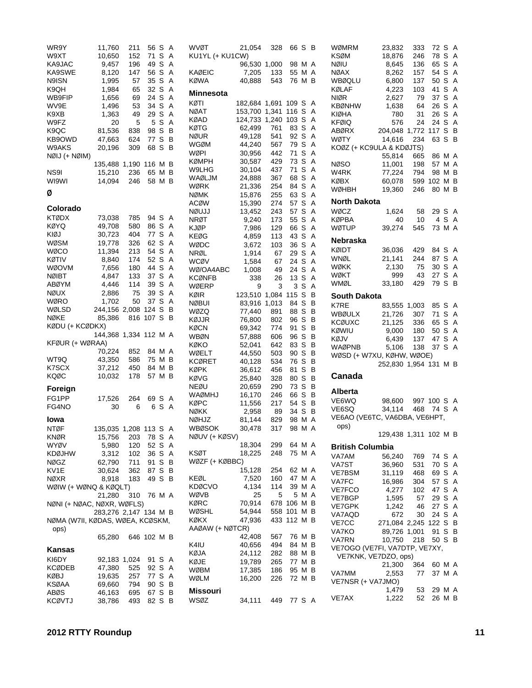| WR9Y<br>W9XT                     | 11,760                | 211              | 56<br>71 | S<br>S | Α<br>Α | <b>WV</b><br>KU1  |
|----------------------------------|-----------------------|------------------|----------|--------|--------|-------------------|
| KA9JAC                           | 10,650<br>9,457       | 152<br>196       | 49       | S      | Α      |                   |
| KA9SWE                           | 8,120                 | 147              | 56       | S      | Α      | KAØ               |
| N9ISN                            | 1,995                 | 57               | 35       | S      | Α      | KØV               |
| K9QH                             | 1,984                 | 65               | 32       | S      | Α      | Mir               |
| WB9FIP<br>WV9E                   | 1,656<br>1,496        | 69<br>53         | 24<br>34 | S<br>S | Α<br>Α | KØT               |
| K9XB                             | 1,363                 | 49               | 29       | S      | Α      | NØ/               |
| W9FZ                             | 20                    | 5                | 5        | S      | Α      | KØA               |
| K9QC                             | 81,536                | 838              | 98       | S      | B      | KØT               |
| KB9OWD                           | 47,663                | 624              | 77       | S      | В      | NØl<br>WG         |
| W9AKS                            | 20,196                | 309              | 68       | S      | В      | WØI               |
| NØIJ (+ NØIM)                    |                       |                  |          |        |        | KØN               |
| NS9I                             | 135,488<br>15,210     | 1,190 116<br>236 | 65       | М<br>М | в<br>в | W9I               |
| WI9WI                            | 14,094                | 246              | 58       |        | MВ     | WA                |
| Ø                                |                       |                  |          |        |        | WØI               |
|                                  |                       |                  |          |        |        | NØN               |
| Colorado                         |                       |                  |          |        |        | AC۵<br>NØl        |
| <b>KTØDX</b>                     | 73,038                | 785              | 94 S     |        | Α      | NR                |
| KØYQ                             | 49,708                | 580              | 86       | S      | Α      | KJØ               |
| KIØJ                             | 30,723                | 404              | 77       | S      | Α      | KEØ               |
| WØSM<br><b>WØCO</b>              | 19,778                | 326              | 62       | S      | Α<br>Α | WØI               |
| <b>KØTIV</b>                     | 11,394<br>8,840       | 213<br>174       | 54<br>52 | S<br>S | Α      | NR.               |
| <b>WØOVM</b>                     | 7,656                 | 180              | 44       | S      | Α      | WC<br>WØ          |
| NØIBT                            | 4,847                 | 133              | 37       | S      | Α      | KC                |
| ABØYM                            | 4,446                 | 114              | 39       | S      | Α      | WØI               |
| <b>NØUX</b>                      | 2,886                 | 75               | 39       | S      | Α      | KØII              |
| WØRO                             | 1,702                 | 50               | 37       | S      | Α      | NØE               |
| WØLSD<br>NØKE                    | 244,156               | 2,008 124<br>816 | 107      | S<br>S | в<br>В | WØ.               |
| KØDU (+ KCØDKX)                  | 85,386                |                  |          |        |        | KØJ               |
|                                  | 144,368 1,334 112 M A |                  |          |        |        | KØC<br>WB         |
| KFØUR (+ WØRAA)                  |                       |                  |          |        |        | KØK               |
|                                  | 70,224                | 852              |          | 84 M A |        | WØI               |
| WT9Q                             | 43,350                | 586              | 75       | М      | в      | KC                |
| K7SCX<br><b>KQØC</b>             | 37,212<br>10,032      | 450<br>178       | 84<br>57 | М<br>м | В<br>в | KØF               |
|                                  |                       |                  |          |        |        | KØ۱<br>NE         |
| Foreign                          |                       |                  |          |        |        | WA                |
| FG1PP                            | 17,526                | 264              | 69       | S      | Α      | KØF               |
| FG4NO                            | 30                    | 6                | 6        | S      | A      | NØM               |
| Iowa                             |                       |                  |          |        |        | NØF               |
| NTØF                             | 135,035 1,208 113 S   |                  |          |        | A      | WB                |
| KNØR                             | 15,756                | 203              | 78       | S      | A      | NØl               |
| WYØV<br><b>KDØJHW</b>            | 5,980<br>3,312        | 120<br>102       | 52<br>36 | S<br>S | Α<br>A | KSØ               |
| NØGZ                             | 62,790                | 711              | 91       | S      | в      | WØ.               |
| KV1E                             | 30,624                | 362              | 87       | S      | В      |                   |
| NØXR                             | 8,918                 | 183              | 49       | S      | В      | KEØ               |
| WØIW (+ WØNQ & KØQLT)            |                       |                  |          |        |        | KD                |
|                                  | 21,280                | 310              | 76 M A   |        |        | WØ'               |
| NØNI (+ NØAC, NØXR, WØFLS)       |                       |                  |          |        |        | KØF<br>WØ:        |
| NØMA (W7II, KØDAS, WØEA, KCØSKM, | 283,276 2,147 134 M B |                  |          |        |        | KØK               |
| ops)                             |                       |                  |          |        |        | AAØ               |
|                                  | 65,280                | 646 102 M B      |          |        |        |                   |
| Kansas                           |                       |                  |          |        |        | K <sub>4</sub> II |
| KI6DY                            | 92,183 1,024          |                  | 91       | S      | Α      | KØJ               |
| KCØDEB                           | 47,380                | 525              | 92       | S      | Α      | KØJ<br>WØI        |
| KØBJ                             | 19,635                | 257              | 77       | S      | Α      | WØI               |
| <b>KSØAA</b>                     | 69,660                | 794              | 90       | S      | в      |                   |
| ABØS                             | 46,163                | 695              | 67       | S      | в      | Mis               |
| <b>KCØVTJ</b>                    | 38,786                | 493              | 82       | S      | в      | WS                |

| WVØT                    | 21,054                 | 328         | 66 S       |          | B      |
|-------------------------|------------------------|-------------|------------|----------|--------|
| KU1YL (+ KU1CW)         |                        |             |            |          |        |
| KAØEIC                  | 96,530 1,000<br>7,205  | 133         | 98<br>55   | м<br>M A | Α      |
| KØWA                    | 40,888                 | 543         | 76         | м        | B      |
| Minnesota               |                        |             |            |          |        |
| KØTI                    | 182,684                | 1,691       | 109        | S        | Α      |
| NØAT                    | 153,700                | 1,341       | 116        | S        | A      |
| KØAD                    | 124,733                | 1,240       | 103        | S        | A      |
| KØTG                    | 62,499                 | 761         | 83         | S        | A      |
| NØUR                    | 49,128                 | 541         | 92         | S        | A      |
| WGØM                    | 44,240                 | 567         | 79         | S        | A      |
| WØPI                    | 30,956                 | 442         | 71         | S        | A      |
| KØMPH                   | 30,587                 | 429         | 73         | S        | A      |
| W9LHG                   | 30,104                 | 437         | 71         | S        | A      |
| WAØLJM                  | 24,888                 | 367         | 68         | S        | A<br>A |
| WØRK<br>NØMK            | 21,336<br>15,876       | 254<br>255  | 84<br>63   | S<br>S   | A      |
| ACØW                    | 15,390                 | 274         | 57         | S        | A      |
| NØUJJ                   | 13,452                 | 243         | 57         | S        | A      |
| NRØT                    | 9,240                  | 173         | 55         | S        | A      |
| KJØP                    | 7,986                  | 129         | 66         | S        | A      |
| KEØG                    | 4,859                  | 113         | 43         | S        | A      |
| WØDC                    | 3,672                  | 103         | 36         | S        | A      |
| NRØL                    | 1,914                  | 67          | 29         | S        | A      |
| WCØV                    | 1,584                  | 67          | 24         | S        | A      |
| WØ/OA4ABC<br>KCØNFB     | 1,008<br>338           | 49<br>26    | 24<br>13   | S<br>S   | A<br>A |
| WØERP                   | 9                      | 3           | 3          | S        | A      |
| KØIR                    | 123,510                | 1,084       | 115        | S        | В      |
| NØBUI                   | 83,916                 | 1,013       | 84         | S        | B      |
| WØZQ                    | 77,440                 | 891         | 88         | S        | В      |
| KØJJR                   | 76,800                 | 802         | 96         | S        | В      |
| KØCN                    | 69,342                 | 774         | 91         | S        | В      |
| WBØN                    | 57,888                 | 606         | 96         | S        | В      |
| KØKO                    | 52,041                 | 642         | 83         | S        | В      |
| WØELT                   | 44,550                 | 503         | 90         | S        | В<br>В |
| KCØRET<br>KØPK          | 40,128<br>36,612       | 534<br>456  | 76<br>81   | S<br>S   | В      |
| KØVG                    | 25,840                 | 328         | 80         | S        | в      |
| NEØU                    | 20,659                 | 290         | 73         | S        | в      |
| WAØMHJ                  | 16,170                 | 246         | 66         | S        | В      |
| KØPC                    | 11,556                 | 217         | 54         | S        | В      |
| NØKK                    | 2,958                  | 89          | 34         | S        | B      |
| NØHJZ                   | 81,144                 | 829         | 98         | м        | A      |
| WBØSOK                  | 30,478                 | 317         | 98 M A     |          |        |
| NØUV (+ KØSV)           | 18,304                 | 299 64 M A  |            |          |        |
| KSØT                    | 18,225                 |             | 248 75 M A |          |        |
| WØZF (+ KØBBC)          |                        |             |            |          |        |
|                         | 15,128                 | 254         | 62 M A     |          |        |
| KEØL                    | 7,520                  |             | 160 47 M A |          |        |
| KDØCVO                  | 4,134                  | 114         | 39 M A     |          |        |
| WØVB                    | 25                     | 5           |            | 5 M A    |        |
| KØRC                    | 70,914                 | 678 106 M B |            |          |        |
| WØSHL                   | 54,944                 | 558 101 M B |            |          |        |
| KØKX<br>AAØAW (+ NØTCR) | 47,936  433  112  M  B |             |            |          |        |
|                         | 42,408 567             |             | 76 M B     |          |        |
| K4IU                    | 40,656                 | 494         | 84 M B     |          |        |
| KØJA                    | 24,112                 | 282         | 88 M B     |          |        |
| KØJE                    | 19,789                 | 265 77      |            | MВ       |        |
| WØBM                    | 17,385                 | 186         | 95 M B     |          |        |
| WØLM                    | 16,200                 | 226         | 72 M B     |          |        |
| Missouri                |                        |             |            |          |        |
| WSØZ                    | 34,111                 | 449 77 S A  |            |          |        |

| WØMRM<br>KSØM<br>NØIU<br>NØAX<br>WBØQLU<br>KØLAF<br>NIØR<br>KBØNHW<br>KIØHA<br>KFØIQ<br>ABØRX<br>WØTY<br>KOØZ (+ KC9ULA & KDØJTS)<br>NØSO    | 23,832<br>18,876<br>8.645<br>8,262<br>6,800<br>4,223<br>2,627<br>1,638<br>780<br>576<br>204,048<br>14,616<br>55,814<br>11,001 | 333<br>246<br>157 54<br>137 50<br>79<br>31<br>24<br>1,772<br>234<br>15,<br>665 86<br>38 57 M<br>3 M | 72<br>78<br>136 65<br>103 41<br>37<br>64 26<br>26<br>24<br>117 S<br>63<br>86 M A | S<br>S<br>S<br>S<br>s<br>S A<br>S<br>S<br>S<br>S<br>S | Α<br>A<br>Α<br>A<br>A<br>A<br>A<br>A<br>A<br>В<br>B<br>A |
|----------------------------------------------------------------------------------------------------------------------------------------------|-------------------------------------------------------------------------------------------------------------------------------|-----------------------------------------------------------------------------------------------------|----------------------------------------------------------------------------------|-------------------------------------------------------|----------------------------------------------------------|
| W4RK<br>KØBX<br>WØHBH                                                                                                                        | 77,224<br>60,078<br>19,360                                                                                                    | 794<br>599<br>246                                                                                   | - 98<br>102<br>80                                                                | М<br>М                                                | B<br>В<br>в                                              |
| <b>North Dakota</b>                                                                                                                          |                                                                                                                               |                                                                                                     |                                                                                  |                                                       |                                                          |
| WØCZ<br><b>KØPBA</b><br>WØTUP                                                                                                                | 1.624<br>40<br>39,274                                                                                                         | 58<br>10<br>545                                                                                     | 29 S A<br>4 S<br>73 M                                                            |                                                       | A<br>A                                                   |
| Nebraska                                                                                                                                     |                                                                                                                               |                                                                                                     |                                                                                  |                                                       |                                                          |
| KØIDT                                                                                                                                        | 36,036                                                                                                                        | 429                                                                                                 | 84 S                                                                             |                                                       | Α                                                        |
| WNØL<br>WØKK                                                                                                                                 | 21,141                                                                                                                        | 244<br>75                                                                                           | 87                                                                               | S                                                     | Α                                                        |
| WØKT                                                                                                                                         | 2,130<br>999                                                                                                                  | 43                                                                                                  | 30 S<br>27                                                                       | S                                                     | Α<br>A                                                   |
| WMØL                                                                                                                                         | 33,180                                                                                                                        | 429                                                                                                 | 79                                                                               | S                                                     | В                                                        |
| <b>South Dakota</b>                                                                                                                          |                                                                                                                               |                                                                                                     |                                                                                  |                                                       |                                                          |
| K7RE<br>WBØULX<br>KCØUXC<br>KØWIU<br>KØJV<br>WAØPNB<br>WØSD (+ W7XU, KØHW, WØOE)                                                             | 83,555 1,003<br>21,726<br>21,125<br>9,000<br>6,439<br>5,106<br>252,830 1,954 131                                              | 307 71<br>336<br>180<br>137<br>138                                                                  | 85 S A<br>65<br>50<br>47 S<br>37                                                 | S<br>S<br>S A<br>S<br>М                               | A<br>A<br>A<br>A<br>в                                    |
| Canada                                                                                                                                       |                                                                                                                               |                                                                                                     |                                                                                  |                                                       |                                                          |
|                                                                                                                                              |                                                                                                                               |                                                                                                     |                                                                                  |                                                       |                                                          |
| Alberta<br>VE6WQ<br>VE6SQ<br>VE6AO (VE6TC, VA6DBA, VE6HPT,<br>ops)                                                                           | 98,600 997 100 S<br>34 114 468 74 S<br>34,114                                                                                 | 468                                                                                                 | 74                                                                               | S                                                     | A<br>A                                                   |
|                                                                                                                                              | 129,438 1,311 102 M B                                                                                                         |                                                                                                     |                                                                                  |                                                       |                                                          |
| <b>British Columbia</b>                                                                                                                      |                                                                                                                               |                                                                                                     |                                                                                  |                                                       |                                                          |
| VA7AM<br>VA7ST<br>VE7BSM<br>VA7FC<br>VE7FCO<br>VE7BGP<br>VE7GPK<br>VA7AQD<br>VE7CC<br>VA7KO<br><b>VA7RN</b><br>VE7OGO (VE7FI, VA7DTP, VE7XY, | 56,240<br>36,960<br>31,119<br>16,986<br>4,277<br>1,595<br>1,242<br>672<br>271,084 2,245 122<br>89,726 1,001<br>10,750         | 769<br>531<br>468<br>304 57<br>102<br>57<br>46<br>30<br>218                                         | 74 S<br>70<br>69<br>47<br>29<br>27<br>24<br>91 S B<br>50                         | S<br>S<br>SA<br>S A<br>S A<br>S A<br>S A<br>SВ<br>S   | A<br>A<br>A<br>- B                                       |
| VE7KNK, VE7DZO, ops)<br>VA7MM                                                                                                                | 21,300<br>2,553                                                                                                               | 364<br>77                                                                                           | 60 M A<br>37 M A                                                                 |                                                       |                                                          |
| VE7NSR (+ VA7JMO)                                                                                                                            | 1,479                                                                                                                         | 53                                                                                                  | 29                                                                               | МA                                                    |                                                          |
| VE7AX                                                                                                                                        | 1,222                                                                                                                         | 52                                                                                                  | 26                                                                               | ΜВ                                                    |                                                          |